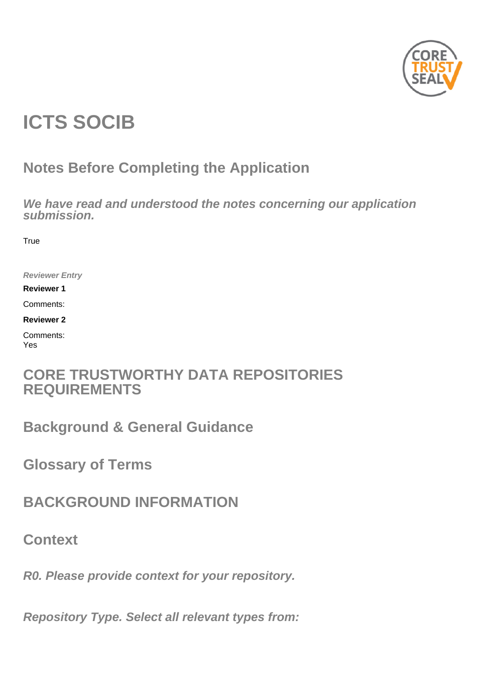

# **ICTS SOCIB**

# **Notes Before Completing the Application**

**We have read and understood the notes concerning our application submission.**

**True** 

**Reviewer Entry**

**Reviewer 1**

Comments:

**Reviewer 2**

Comments: Yes

# **CORE TRUSTWORTHY DATA REPOSITORIES REQUIREMENTS**

**Background & General Guidance**

**Glossary of Terms**

**BACKGROUND INFORMATION**

**Context**

**R0. Please provide context for your repository.**

**Repository Type. Select all relevant types from:**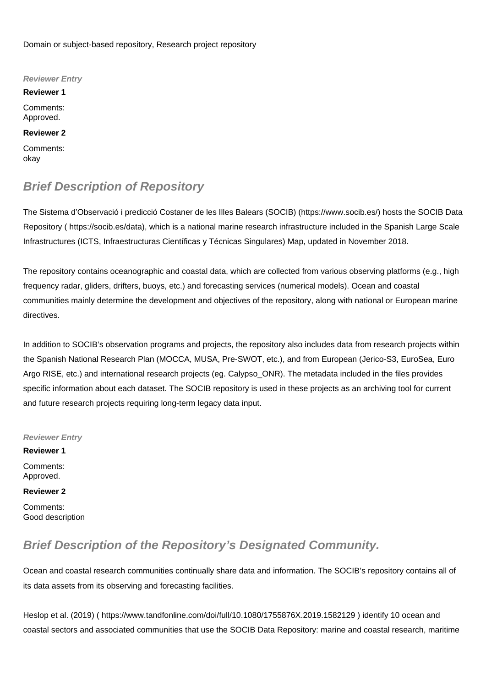Domain or subject-based repository, Research project repository

**Reviewer Entry Reviewer 1** Comments: Approved. **Reviewer 2** Comments: okay

# **Brief Description of Repository**

The Sistema d'Observació i predicció Costaner de les Illes Balears (SOCIB) ([https://www.socib.es/\)](https://www.socib.es/) hosts the SOCIB Data Repository ( [https://socib.es/data\)](https://socib.es/data), which is a national marine research infrastructure included in the Spanish Large Scale Infrastructures (ICTS, Infraestructuras Científicas y Técnicas Singulares) Map, updated in November 2018.

The repository contains oceanographic and coastal data, which are collected from various observing platforms (e.g., high frequency radar, gliders, drifters, buoys, etc.) and forecasting services (numerical models). Ocean and coastal communities mainly determine the development and objectives of the repository, along with national or European marine directives.

In addition to SOCIB's observation programs and projects, the repository also includes data from research projects within the Spanish National Research Plan (MOCCA, MUSA, Pre-SWOT, etc.), and from European (Jerico-S3, EuroSea, Euro Argo RISE, etc.) and international research projects (eg. Calypso\_ONR). The metadata included in the files provides specific information about each dataset. The SOCIB repository is used in these projects as an archiving tool for current and future research projects requiring long-term legacy data input.

**Reviewer Entry**

**Reviewer 1** Comments: Approved.

### **Reviewer 2**

Comments: Good description

# **Brief Description of the Repository's Designated Community.**

Ocean and coastal research communities continually share data and information. The SOCIB's repository contains all of its data assets from its observing and forecasting facilities.

Heslop et al. (2019) (<https://www.tandfonline.com/doi/full/10.1080/1755876X.2019.1582129> ) identify 10 ocean and coastal sectors and associated communities that use the SOCIB Data Repository: marine and coastal research, maritime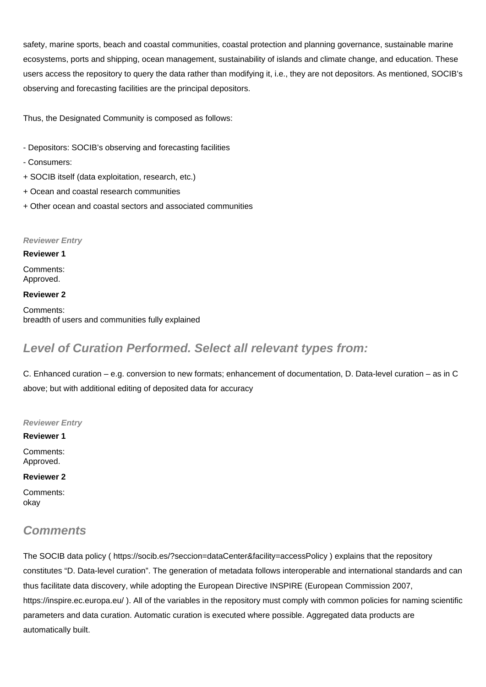safety, marine sports, beach and coastal communities, coastal protection and planning governance, sustainable marine ecosystems, ports and shipping, ocean management, sustainability of islands and climate change, and education. These users access the repository to query the data rather than modifying it, i.e., they are not depositors. As mentioned, SOCIB's observing and forecasting facilities are the principal depositors.

Thus, the Designated Community is composed as follows:

- Depositors: SOCIB's observing and forecasting facilities
- Consumers:
- + SOCIB itself (data exploitation, research, etc.)
- + Ocean and coastal research communities
- + Other ocean and coastal sectors and associated communities

### **Reviewer Entry**

**Reviewer 1** Comments: Approved.

### **Reviewer 2**

Comments: breadth of users and communities fully explained

# **Level of Curation Performed. Select all relevant types from:**

C. Enhanced curation – e.g. conversion to new formats; enhancement of documentation, D. Data-level curation – as in C above; but with additional editing of deposited data for accuracy

**Reviewer Entry**

**Reviewer 1** Comments: Approved.

**Reviewer 2**

Comments: okay

# **Comments**

The SOCIB data policy ( <https://socib.es/?seccion=dataCenter&facility=accessPolicy> ) explains that the repository constitutes "D. Data-level curation". The generation of metadata follows interoperable and international standards and can thus facilitate data discovery, while adopting the European Directive INSPIRE (European Commission 2007, <https://inspire.ec.europa.eu/>). All of the variables in the repository must comply with common policies for naming scientific parameters and data curation. Automatic curation is executed where possible. Aggregated data products are automatically built.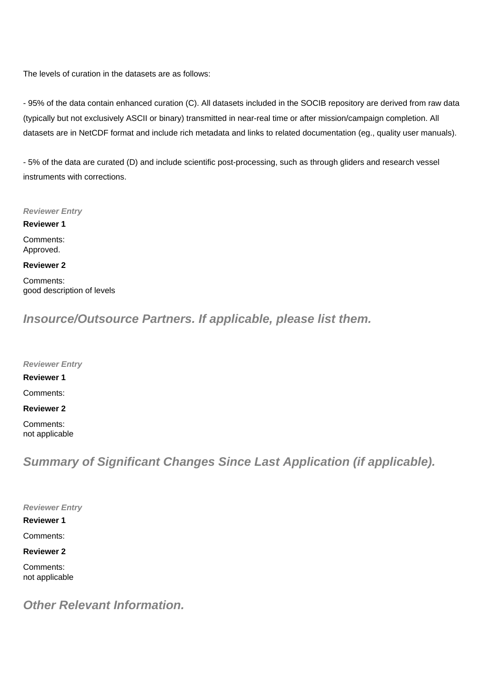The levels of curation in the datasets are as follows:

- 95% of the data contain enhanced curation (C). All datasets included in the SOCIB repository are derived from raw data (typically but not exclusively ASCII or binary) transmitted in near-real time or after mission/campaign completion. All datasets are in NetCDF format and include rich metadata and links to related documentation (eg., quality user manuals).

- 5% of the data are curated (D) and include scientific post-processing, such as through gliders and research vessel instruments with corrections.

#### **Reviewer Entry**

**Reviewer 1**

Comments: Approved.

### **Reviewer 2**

Comments: good description of levels

**Insource/Outsource Partners. If applicable, please list them.**

**Reviewer Entry**

**Reviewer 1**

Comments:

**Reviewer 2**

Comments: not applicable

**Summary of Significant Changes Since Last Application (if applicable).**

**Reviewer Entry**

**Reviewer 1** Comments:

**Reviewer 2**

Comments: not applicable

**Other Relevant Information.**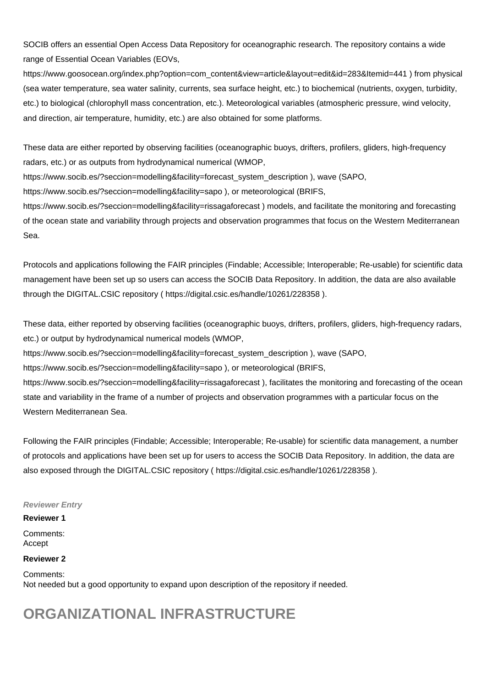SOCIB offers an essential Open Access Data Repository for oceanographic research. The repository contains a wide range of Essential Ocean Variables (EOVs,

[https://www.goosocean.org/index.php?option=com\\_content&view=article&layout=edit&id=283&Itemid=441](https://www.goosocean.org/index.php?option=com_content&view=article&layout=edit&id=283&Itemid=441) ) from physical (sea water temperature, sea water salinity, currents, sea surface height, etc.) to biochemical (nutrients, oxygen, turbidity, etc.) to biological (chlorophyll mass concentration, etc.). Meteorological variables (atmospheric pressure, wind velocity, and direction, air temperature, humidity, etc.) are also obtained for some platforms.

These data are either reported by observing facilities (oceanographic buoys, drifters, profilers, gliders, high-frequency radars, etc.) or as outputs from hydrodynamical numerical (WMOP,

[https://www.socib.es/?seccion=modelling&facility=forecast\\_system\\_description](https://www.socib.es/?seccion=modelling&facility=forecast_system_description) ), wave (SAPO,

<https://www.socib.es/?seccion=modelling&facility=sapo> ), or meteorological (BRIFS,

<https://www.socib.es/?seccion=modelling&facility=rissagaforecast>) models, and facilitate the monitoring and forecasting of the ocean state and variability through projects and observation programmes that focus on the Western Mediterranean Sea.

Protocols and applications following the FAIR principles (Findable; Accessible; Interoperable; Re-usable) for scientific data management have been set up so users can access the SOCIB Data Repository. In addition, the data are also available through the DIGITAL.CSIC repository ( <https://digital.csic.es/handle/10261/228358>).

These data, either reported by observing facilities (oceanographic buoys, drifters, profilers, gliders, high-frequency radars, etc.) or output by hydrodynamical numerical models (WMOP,

[https://www.socib.es/?seccion=modelling&facility=forecast\\_system\\_description](https://www.socib.es/?seccion=modelling&facility=forecast_system_description) ), wave (SAPO,

<https://www.socib.es/?seccion=modelling&facility=sapo> ), or meteorological (BRIFS,

<https://www.socib.es/?seccion=modelling&facility=rissagaforecast>), facilitates the monitoring and forecasting of the ocean state and variability in the frame of a number of projects and observation programmes with a particular focus on the Western Mediterranean Sea.

Following the FAIR principles (Findable; Accessible; Interoperable; Re-usable) for scientific data management, a number of protocols and applications have been set up for users to access the SOCIB Data Repository. In addition, the data are also exposed through the DIGITAL.CSIC repository ( <https://digital.csic.es/handle/10261/228358>).

## **Reviewer Entry**

### **Reviewer 1**

Comments: Accept

### **Reviewer 2**

Comments: Not needed but a good opportunity to expand upon description of the repository if needed.

# **ORGANIZATIONAL INFRASTRUCTURE**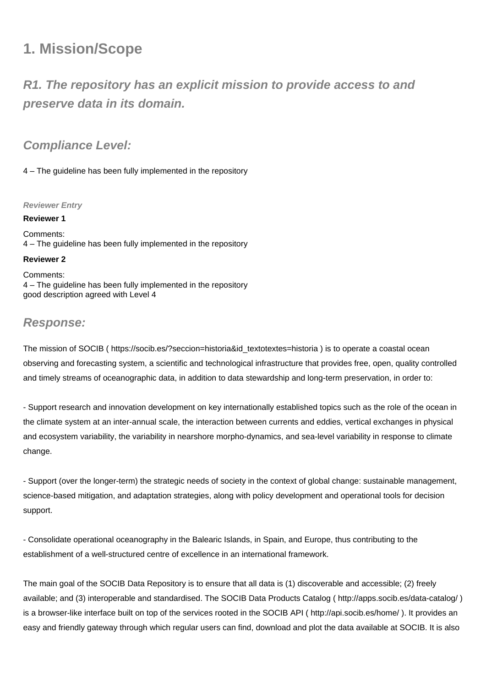# **1. Mission/Scope**

# **R1. The repository has an explicit mission to provide access to and preserve data in its domain.**

# **Compliance Level:**

4 – The guideline has been fully implemented in the repository

## **Reviewer Entry**

**Reviewer 1** Comments: 4 – The guideline has been fully implemented in the repository

## **Reviewer 2**

Comments: 4 – The guideline has been fully implemented in the repository good description agreed with Level 4

# **Response:**

The mission of SOCIB ( [https://socib.es/?seccion=historia&id\\_textotextes=historia](https://socib.es/?seccion=historia&id_textotextes=historia) ) is to operate a coastal ocean observing and forecasting system, a scientific and technological infrastructure that provides free, open, quality controlled and timely streams of oceanographic data, in addition to data stewardship and long-term preservation, in order to:

- Support research and innovation development on key internationally established topics such as the role of the ocean in the climate system at an inter-annual scale, the interaction between currents and eddies, vertical exchanges in physical and ecosystem variability, the variability in nearshore morpho-dynamics, and sea-level variability in response to climate change.

- Support (over the longer-term) the strategic needs of society in the context of global change: sustainable management, science-based mitigation, and adaptation strategies, along with policy development and operational tools for decision support.

- Consolidate operational oceanography in the Balearic Islands, in Spain, and Europe, thus contributing to the establishment of a well-structured centre of excellence in an international framework.

The main goal of the SOCIB Data Repository is to ensure that all data is (1) discoverable and accessible; (2) freely available; and (3) interoperable and standardised. The SOCIB Data Products Catalog (<http://apps.socib.es/data-catalog/>) is a browser-like interface built on top of the services rooted in the SOCIB API ( <http://api.socib.es/home/> ). It provides an easy and friendly gateway through which regular users can find, download and plot the data available at SOCIB. It is also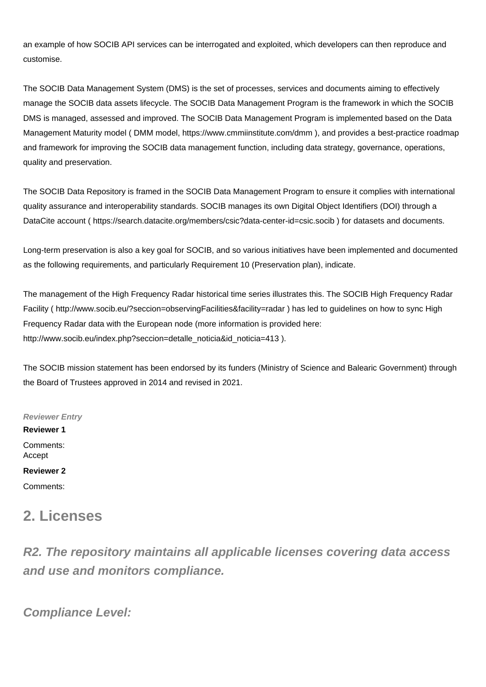an example of how SOCIB API services can be interrogated and exploited, which developers can then reproduce and customise.

The SOCIB Data Management System (DMS) is the set of processes, services and documents aiming to effectively manage the SOCIB data assets lifecycle. The SOCIB Data Management Program is the framework in which the SOCIB DMS is managed, assessed and improved. The SOCIB Data Management Program is implemented based on the Data Management Maturity model ( DMM model,<https://www.cmmiinstitute.com/dmm>), and provides a best-practice roadmap and framework for improving the SOCIB data management function, including data strategy, governance, operations, quality and preservation.

The SOCIB Data Repository is framed in the SOCIB Data Management Program to ensure it complies with international quality assurance and interoperability standards. SOCIB manages its own Digital Object Identifiers (DOI) through a DataCite account ( <https://search.datacite.org/members/csic?data-center-id=csic.socib>) for datasets and documents.

Long-term preservation is also a key goal for SOCIB, and so various initiatives have been implemented and documented as the following requirements, and particularly Requirement 10 (Preservation plan), indicate.

The management of the High Frequency Radar historical time series illustrates this. The SOCIB High Frequency Radar Facility (<http://www.socib.eu/?seccion=observingFacilities&facility=radar>) has led to guidelines on how to sync High Frequency Radar data with the European node (more information is provided here: [http://www.socib.eu/index.php?seccion=detalle\\_noticia&id\\_noticia=413](http://www.socib.eu/index.php?seccion=detalle_noticia&id_noticia=413) ).

The SOCIB mission statement has been endorsed by its funders (Ministry of Science and Balearic Government) through the Board of Trustees approved in 2014 and revised in 2021.

**Reviewer Entry Reviewer 1** Comments: Accept **Reviewer 2** Comments:

# **2. Licenses**

**R2. The repository maintains all applicable licenses covering data access and use and monitors compliance.**

**Compliance Level:**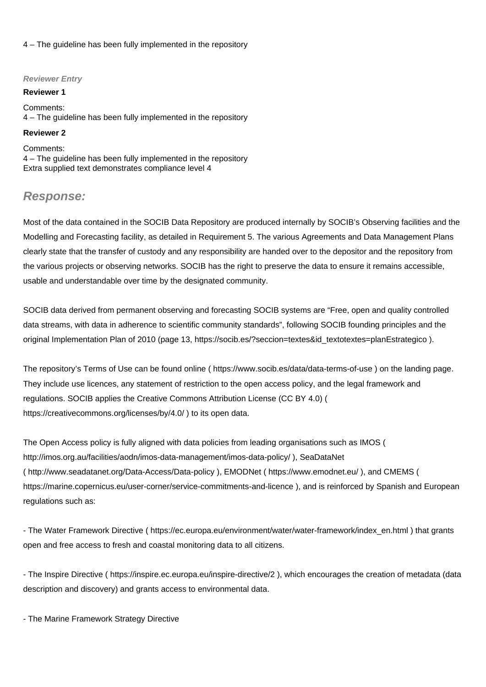4 – The guideline has been fully implemented in the repository

### **Reviewer Entry**

#### **Reviewer 1**

Comments: 4 – The guideline has been fully implemented in the repository

### **Reviewer 2**

Comments: 4 – The guideline has been fully implemented in the repository Extra supplied text demonstrates compliance level 4

# **Response:**

Most of the data contained in the SOCIB Data Repository are produced internally by SOCIB's Observing facilities and the Modelling and Forecasting facility, as detailed in Requirement 5. The various Agreements and Data Management Plans clearly state that the transfer of custody and any responsibility are handed over to the depositor and the repository from the various projects or observing networks. SOCIB has the right to preserve the data to ensure it remains accessible, usable and understandable over time by the designated community.

SOCIB data derived from permanent observing and forecasting SOCIB systems are "Free, open and quality controlled data streams, with data in adherence to scientific community standards", following SOCIB founding principles and the original Implementation Plan of 2010 (page 13, [https://socib.es/?seccion=textes&id\\_textotextes=planEstrategico](https://socib.es/?seccion=textes&id_textotextes=planEstrategico) ).

The repository's Terms of Use can be found online (<https://www.socib.es/data/data-terms-of-use> ) on the landing page. They include use licences, any statement of restriction to the open access policy, and the legal framework and regulations. SOCIB applies the Creative Commons Attribution License (CC BY 4.0) ( <https://creativecommons.org/licenses/by/4.0/>) to its open data.

The Open Access policy is fully aligned with data policies from leading organisations such as IMOS ( <http://imos.org.au/facilities/aodn/imos-data-management/imos-data-policy/>), SeaDataNet (<http://www.seadatanet.org/Data-Access/Data-policy>), EMODNet ( <https://www.emodnet.eu/> ), and CMEMS ( <https://marine.copernicus.eu/user-corner/service-commitments-and-licence>), and is reinforced by Spanish and European regulations such as:

- The Water Framework Directive ( [https://ec.europa.eu/environment/water/water-framework/index\\_en.html](https://ec.europa.eu/environment/water/water-framework/index_en.html) ) that grants open and free access to fresh and coastal monitoring data to all citizens.

- The Inspire Directive (<https://inspire.ec.europa.eu/inspire-directive/2>), which encourages the creation of metadata (data description and discovery) and grants access to environmental data.

- The Marine Framework Strategy Directive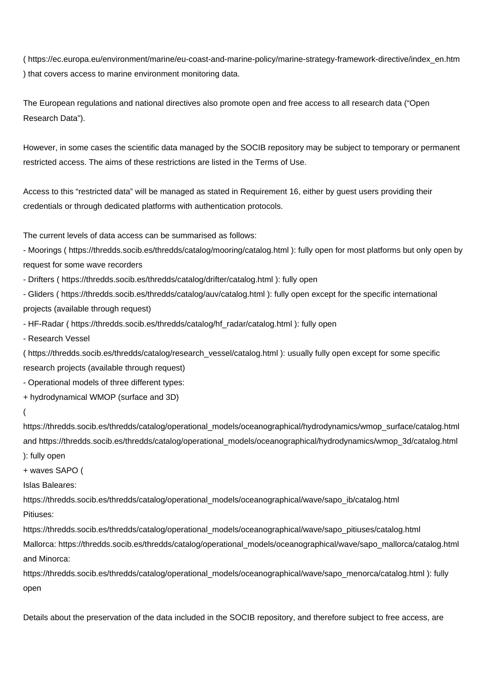( [https://ec.europa.eu/environment/marine/eu-coast-and-marine-policy/marine-strategy-framework-directive/index\\_en.htm](https://ec.europa.eu/environment/marine/eu-coast-and-marine-policy/marine-strategy-framework-directive/index_en.htm) ) that covers access to marine environment monitoring data.

The European regulations and national directives also promote open and free access to all research data ("Open Research Data").

However, in some cases the scientific data managed by the SOCIB repository may be subject to temporary or permanent restricted access. The aims of these restrictions are listed in the Terms of Use.

Access to this "restricted data" will be managed as stated in Requirement 16, either by guest users providing their credentials or through dedicated platforms with authentication protocols.

The current levels of data access can be summarised as follows:

- Moorings (<https://thredds.socib.es/thredds/catalog/mooring/catalog.html>): fully open for most platforms but only open by request for some wave recorders

- Drifters ( <https://thredds.socib.es/thredds/catalog/drifter/catalog.html>): fully open

- Gliders (<https://thredds.socib.es/thredds/catalog/auv/catalog.html>): fully open except for the specific international projects (available through request)

- HF-Radar ( [https://thredds.socib.es/thredds/catalog/hf\\_radar/catalog.html](https://thredds.socib.es/thredds/catalog/hf_radar/catalog.html) ): fully open

- Research Vessel

( [https://thredds.socib.es/thredds/catalog/research\\_vessel/catalog.html](https://thredds.socib.es/thredds/catalog/research_vessel/catalog.html) ): usually fully open except for some specific research projects (available through request)

- Operational models of three different types:

+ hydrodynamical WMOP (surface and 3D)

#### (

[https://thredds.socib.es/thredds/catalog/operational\\_models/oceanographical/hydrodynamics/wmop\\_surface/catalog.html](https://thredds.socib.es/thredds/catalog/operational_models/oceanographical/hydrodynamics/wmop_surface/catalog.html) and [https://thredds.socib.es/thredds/catalog/operational\\_models/oceanographical/hydrodynamics/wmop\\_3d/catalog.html](https://thredds.socib.es/thredds/catalog/operational_models/oceanographical/hydrodynamics/wmop_3d/catalog.html) ): fully open

+ waves SAPO (

Islas Baleares:

[https://thredds.socib.es/thredds/catalog/operational\\_models/oceanographical/wave/sapo\\_ib/catalog.html](https://thredds.socib.es/thredds/catalog/operational_models/oceanographical/wave/sapo_ib/catalog.html) Pitiuses:

[https://thredds.socib.es/thredds/catalog/operational\\_models/oceanographical/wave/sapo\\_pitiuses/catalog.html](https://thredds.socib.es/thredds/catalog/operational_models/oceanographical/wave/sapo_pitiuses/catalog.html)

Mallorca: [https://thredds.socib.es/thredds/catalog/operational\\_models/oceanographical/wave/sapo\\_mallorca/catalog.html](https://thredds.socib.es/thredds/catalog/operational_models/oceanographical/wave/sapo_mallorca/catalog.html) and Minorca:

[https://thredds.socib.es/thredds/catalog/operational\\_models/oceanographical/wave/sapo\\_menorca/catalog.html](https://thredds.socib.es/thredds/catalog/operational_models/oceanographical/wave/sapo_menorca/catalog.html) ): fully open

Details about the preservation of the data included in the SOCIB repository, and therefore subject to free access, are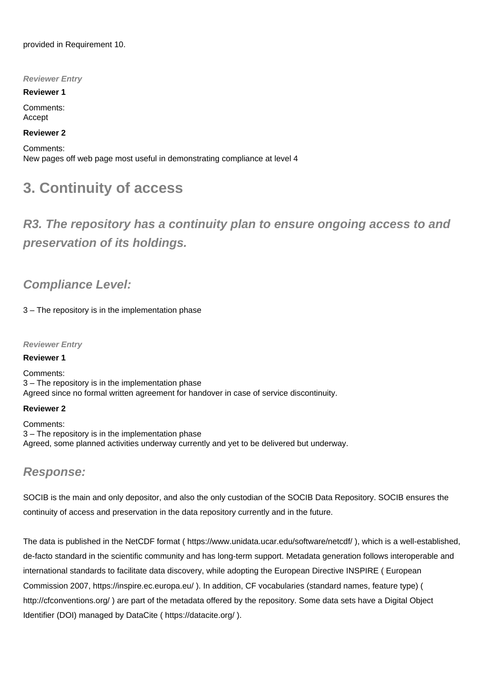provided in Requirement 10.

**Reviewer Entry**

**Reviewer 1**

Comments: Accept

## **Reviewer 2**

Comments: New pages off web page most useful in demonstrating compliance at level 4

# **3. Continuity of access**

**R3. The repository has a continuity plan to ensure ongoing access to and preservation of its holdings.**

# **Compliance Level:**

3 – The repository is in the implementation phase

## **Reviewer Entry**

### **Reviewer 1**

Comments: 3 – The repository is in the implementation phase Agreed since no formal written agreement for handover in case of service discontinuity.

### **Reviewer 2**

Comments: 3 – The repository is in the implementation phase Agreed, some planned activities underway currently and yet to be delivered but underway.

## **Response:**

SOCIB is the main and only depositor, and also the only custodian of the SOCIB Data Repository. SOCIB ensures the continuity of access and preservation in the data repository currently and in the future.

The data is published in the NetCDF format ( <https://www.unidata.ucar.edu/software/netcdf/>), which is a well-established, de-facto standard in the scientific community and has long-term support. Metadata generation follows interoperable and international standards to facilitate data discovery, while adopting the European Directive INSPIRE ( European Commission 2007, <https://inspire.ec.europa.eu/> ). In addition, CF vocabularies (standard names, feature type) ( <http://cfconventions.org/>) are part of the metadata offered by the repository. Some data sets have a Digital Object Identifier (DOI) managed by DataCite (<https://datacite.org/> ).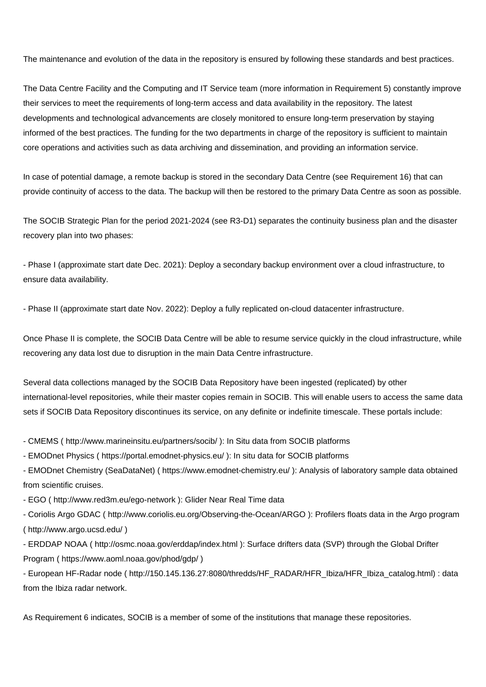The maintenance and evolution of the data in the repository is ensured by following these standards and best practices.

The Data Centre Facility and the Computing and IT Service team (more information in Requirement 5) constantly improve their services to meet the requirements of long-term access and data availability in the repository. The latest developments and technological advancements are closely monitored to ensure long-term preservation by staying informed of the best practices. The funding for the two departments in charge of the repository is sufficient to maintain core operations and activities such as data archiving and dissemination, and providing an information service.

In case of potential damage, a remote backup is stored in the secondary Data Centre (see Requirement 16) that can provide continuity of access to the data. The backup will then be restored to the primary Data Centre as soon as possible.

The SOCIB Strategic Plan for the period 2021-2024 (see R3-D1) separates the continuity business plan and the disaster recovery plan into two phases:

- Phase I (approximate start date Dec. 2021): Deploy a secondary backup environment over a cloud infrastructure, to ensure data availability.

- Phase II (approximate start date Nov. 2022): Deploy a fully replicated on-cloud datacenter infrastructure.

Once Phase II is complete, the SOCIB Data Centre will be able to resume service quickly in the cloud infrastructure, while recovering any data lost due to disruption in the main Data Centre infrastructure.

Several data collections managed by the SOCIB Data Repository have been ingested (replicated) by other international-level repositories, while their master copies remain in SOCIB. This will enable users to access the same data sets if SOCIB Data Repository discontinues its service, on any definite or indefinite timescale. These portals include:

- CMEMS ( <http://www.marineinsitu.eu/partners/socib/> ): In Situ data from SOCIB platforms

- EMODnet Physics (<https://portal.emodnet-physics.eu/>): In situ data for SOCIB platforms

- EMODnet Chemistry (SeaDataNet) ( <https://www.emodnet-chemistry.eu/> ): Analysis of laboratory sample data obtained from scientific cruises.

- EGO ( <http://www.red3m.eu/ego-network> ): Glider Near Real Time data

- Coriolis Argo GDAC (<http://www.coriolis.eu.org/Observing-the-Ocean/ARGO>): Profilers floats data in the Argo program (<http://www.argo.ucsd.edu/> )

- ERDDAP NOAA (<http://osmc.noaa.gov/erddap/index.html> ): Surface drifters data (SVP) through the Global Drifter Program ( <https://www.aoml.noaa.gov/phod/gdp/>)

- European HF-Radar node ( [http://150.145.136.27:8080/thredds/HF\\_RADAR/HFR\\_Ibiza/HFR\\_Ibiza\\_catalog.html](http://150.145.136.27:8080/thredds/HF_RADAR/HFR_Ibiza/HFR_Ibiza_catalog.html)) : data from the Ibiza radar network.

As Requirement 6 indicates, SOCIB is a member of some of the institutions that manage these repositories.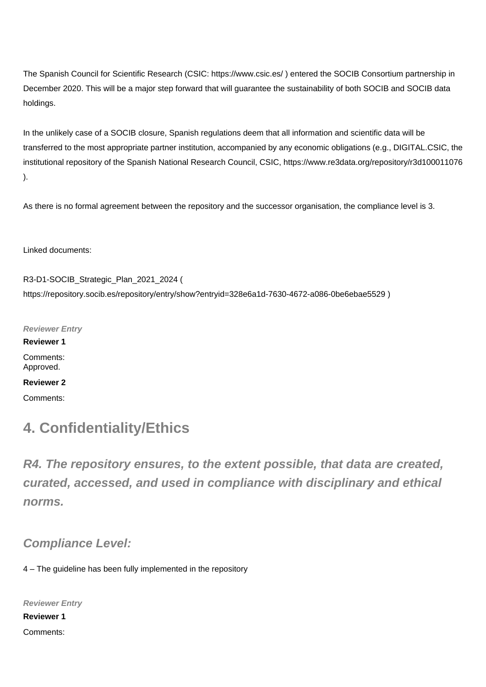The Spanish Council for Scientific Research (CSIC: <https://www.csic.es/>) entered the SOCIB Consortium partnership in December 2020. This will be a major step forward that will guarantee the sustainability of both SOCIB and SOCIB data holdings.

In the unlikely case of a SOCIB closure, Spanish regulations deem that all information and scientific data will be transferred to the most appropriate partner institution, accompanied by any economic obligations (e.g., DIGITAL.CSIC, the institutional repository of the Spanish National Research Council, CSIC,<https://www.re3data.org/repository/r3d100011076> ).

As there is no formal agreement between the repository and the successor organisation, the compliance level is 3.

Linked documents:

R3-D1-SOCIB\_Strategic\_Plan\_2021\_2024 ( <https://repository.socib.es/repository/entry/show?entryid=328e6a1d-7630-4672-a086-0be6ebae5529> )

**Reviewer Entry Reviewer 1** Comments: Approved. **Reviewer 2**

Comments:

# **4. Confidentiality/Ethics**

**R4. The repository ensures, to the extent possible, that data are created, curated, accessed, and used in compliance with disciplinary and ethical norms.**

**Compliance Level:**

4 – The guideline has been fully implemented in the repository

**Reviewer Entry Reviewer 1** Comments: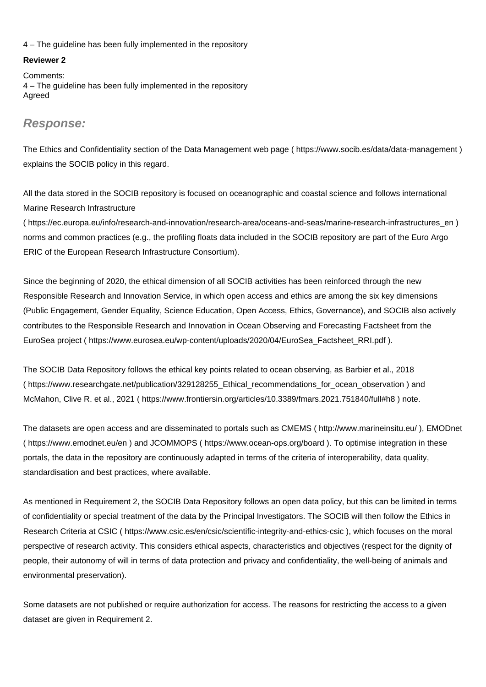4 – The guideline has been fully implemented in the repository

### **Reviewer 2**

Comments: 4 – The guideline has been fully implemented in the repository Agreed

# **Response:**

The Ethics and Confidentiality section of the Data Management web page ( <https://www.socib.es/data/data-management> ) explains the SOCIB policy in this regard.

All the data stored in the SOCIB repository is focused on oceanographic and coastal science and follows international Marine Research Infrastructure

( [https://ec.europa.eu/info/research-and-innovation/research-area/oceans-and-seas/marine-research-infrastructures\\_en](https://ec.europa.eu/info/research-and-innovation/research-area/oceans-and-seas/marine-research-infrastructures_en) ) norms and common practices (e.g., the profiling floats data included in the SOCIB repository are part of the Euro Argo ERIC of the European Research Infrastructure Consortium).

Since the beginning of 2020, the ethical dimension of all SOCIB activities has been reinforced through the new Responsible Research and Innovation Service, in which open access and ethics are among the six key dimensions (Public Engagement, Gender Equality, Science Education, Open Access, Ethics, Governance), and SOCIB also actively contributes to the Responsible Research and Innovation in Ocean Observing and Forecasting Factsheet from the EuroSea project ( [https://www.eurosea.eu/wp-content/uploads/2020/04/EuroSea\\_Factsheet\\_RRI.pdf](https://www.eurosea.eu/wp-content/uploads/2020/04/EuroSea_Factsheet_RRI.pdf) ).

The SOCIB Data Repository follows the ethical key points related to ocean observing, as Barbier et al., 2018 ( [https://www.researchgate.net/publication/329128255\\_Ethical\\_recommendations\\_for\\_ocean\\_observation](https://www.researchgate.net/publication/329128255_Ethical_recommendations_for_ocean_observation) ) and McMahon, Clive R. et al., 2021 ( <https://www.frontiersin.org/articles/10.3389/fmars.2021.751840/full#h8> ) note.

The datasets are open access and are disseminated to portals such as CMEMS ( <http://www.marineinsitu.eu/>), EMODnet (<https://www.emodnet.eu/en>) and JCOMMOPS ( <https://www.ocean-ops.org/board> ). To optimise integration in these portals, the data in the repository are continuously adapted in terms of the criteria of interoperability, data quality, standardisation and best practices, where available.

As mentioned in Requirement 2, the SOCIB Data Repository follows an open data policy, but this can be limited in terms of confidentiality or special treatment of the data by the Principal Investigators. The SOCIB will then follow the Ethics in Research Criteria at CSIC ( <https://www.csic.es/en/csic/scientific-integrity-and-ethics-csic> ), which focuses on the moral perspective of research activity. This considers ethical aspects, characteristics and objectives (respect for the dignity of people, their autonomy of will in terms of data protection and privacy and confidentiality, the well-being of animals and environmental preservation).

Some datasets are not published or require authorization for access. The reasons for restricting the access to a given dataset are given in Requirement 2.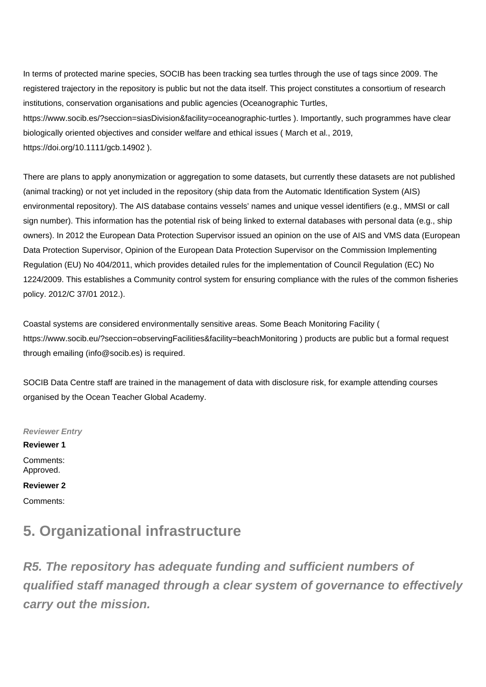In terms of protected marine species, SOCIB has been tracking sea turtles through the use of tags since 2009. The registered trajectory in the repository is public but not the data itself. This project constitutes a consortium of research institutions, conservation organisations and public agencies (Oceanographic Turtles, <https://www.socib.es/?seccion=siasDivision&facility=oceanographic-turtles>). Importantly, such programmes have clear biologically oriented objectives and consider welfare and ethical issues ( March et al., 2019, <https://doi.org/10.1111/gcb.14902> ).

There are plans to apply anonymization or aggregation to some datasets, but currently these datasets are not published (animal tracking) or not yet included in the repository (ship data from the Automatic Identification System (AIS) environmental repository). The AIS database contains vessels' names and unique vessel identifiers (e.g., MMSI or call sign number). This information has the potential risk of being linked to external databases with personal data (e.g., ship owners). In 2012 the European Data Protection Supervisor issued an opinion on the use of AIS and VMS data (European Data Protection Supervisor, Opinion of the European Data Protection Supervisor on the Commission Implementing Regulation (EU) No 404/2011, which provides detailed rules for the implementation of Council Regulation (EC) No 1224/2009. This establishes a Community control system for ensuring compliance with the rules of the common fisheries policy. 2012/C 37/01 2012.).

Coastal systems are considered environmentally sensitive areas. Some Beach Monitoring Facility ( <https://www.socib.eu/?seccion=observingFacilities&facility=beachMonitoring>) products are public but a formal request through emailing (info@socib.es) is required.

SOCIB Data Centre staff are trained in the management of data with disclosure risk, for example attending courses organised by the Ocean Teacher Global Academy.

**Reviewer Entry Reviewer 1** Comments: Approved. **Reviewer 2** Comments:

# **5. Organizational infrastructure**

**R5. The repository has adequate funding and sufficient numbers of qualified staff managed through a clear system of governance to effectively carry out the mission.**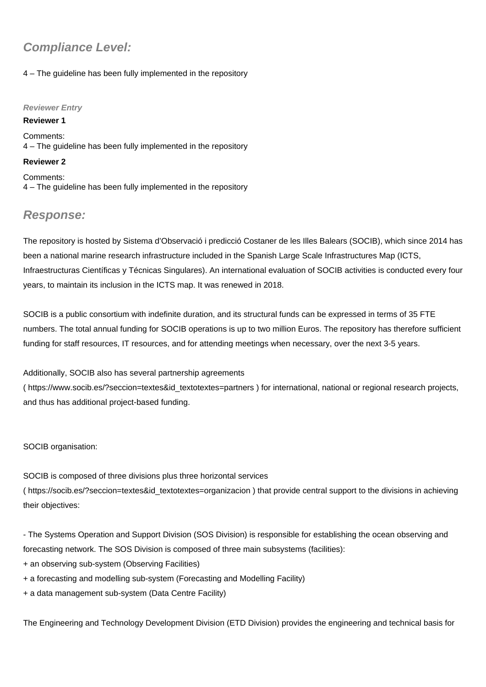# **Compliance Level:**

## 4 – The guideline has been fully implemented in the repository

### **Reviewer Entry**

**Reviewer 1** Comments: 4 – The guideline has been fully implemented in the repository

### **Reviewer 2**

Comments: 4 – The guideline has been fully implemented in the repository

# **Response:**

The repository is hosted by Sistema d'Observació i predicció Costaner de les Illes Balears (SOCIB), which since 2014 has been a national marine research infrastructure included in the Spanish Large Scale Infrastructures Map (ICTS, Infraestructuras Científicas y Técnicas Singulares). An international evaluation of SOCIB activities is conducted every four years, to maintain its inclusion in the ICTS map. It was renewed in 2018.

SOCIB is a public consortium with indefinite duration, and its structural funds can be expressed in terms of 35 FTE numbers. The total annual funding for SOCIB operations is up to two million Euros. The repository has therefore sufficient funding for staff resources, IT resources, and for attending meetings when necessary, over the next 3-5 years.

Additionally, SOCIB also has several partnership agreements

( [https://www.socib.es/?seccion=textes&id\\_textotextes=partners](https://www.socib.es/?seccion=textes&id_textotextes=partners) ) for international, national or regional research projects, and thus has additional project-based funding.

SOCIB organisation:

SOCIB is composed of three divisions plus three horizontal services ( [https://socib.es/?seccion=textes&id\\_textotextes=organizacion](https://socib.es/?seccion=textes&id_textotextes=organizacion) ) that provide central support to the divisions in achieving their objectives:

- The Systems Operation and Support Division (SOS Division) is responsible for establishing the ocean observing and forecasting network. The SOS Division is composed of three main subsystems (facilities):

- + an observing sub-system (Observing Facilities)
- + a forecasting and modelling sub-system (Forecasting and Modelling Facility)
- + a data management sub-system (Data Centre Facility)

The Engineering and Technology Development Division (ETD Division) provides the engineering and technical basis for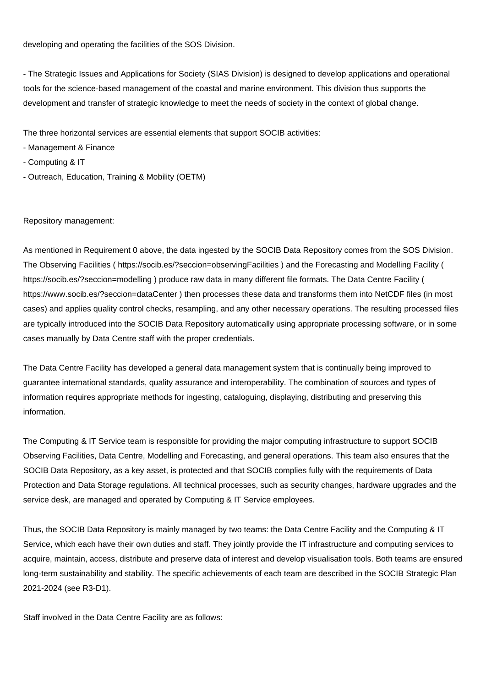developing and operating the facilities of the SOS Division.

- The Strategic Issues and Applications for Society (SIAS Division) is designed to develop applications and operational tools for the science-based management of the coastal and marine environment. This division thus supports the development and transfer of strategic knowledge to meet the needs of society in the context of global change.

The three horizontal services are essential elements that support SOCIB activities:

- Management & Finance
- Computing & IT
- Outreach, Education, Training & Mobility (OETM)

Repository management:

As mentioned in Requirement 0 above, the data ingested by the SOCIB Data Repository comes from the SOS Division. The Observing Facilities (<https://socib.es/?seccion=observingFacilities>) and the Forecasting and Modelling Facility ( <https://socib.es/?seccion=modelling>) produce raw data in many different file formats. The Data Centre Facility ( <https://www.socib.es/?seccion=dataCenter> ) then processes these data and transforms them into NetCDF files (in most cases) and applies quality control checks, resampling, and any other necessary operations. The resulting processed files are typically introduced into the SOCIB Data Repository automatically using appropriate processing software, or in some cases manually by Data Centre staff with the proper credentials.

The Data Centre Facility has developed a general data management system that is continually being improved to guarantee international standards, quality assurance and interoperability. The combination of sources and types of information requires appropriate methods for ingesting, cataloguing, displaying, distributing and preserving this information.

The Computing & IT Service team is responsible for providing the major computing infrastructure to support SOCIB Observing Facilities, Data Centre, Modelling and Forecasting, and general operations. This team also ensures that the SOCIB Data Repository, as a key asset, is protected and that SOCIB complies fully with the requirements of Data Protection and Data Storage regulations. All technical processes, such as security changes, hardware upgrades and the service desk, are managed and operated by Computing & IT Service employees.

Thus, the SOCIB Data Repository is mainly managed by two teams: the Data Centre Facility and the Computing & IT Service, which each have their own duties and staff. They jointly provide the IT infrastructure and computing services to acquire, maintain, access, distribute and preserve data of interest and develop visualisation tools. Both teams are ensured long-term sustainability and stability. The specific achievements of each team are described in the SOCIB Strategic Plan 2021-2024 (see R3-D1).

Staff involved in the Data Centre Facility are as follows: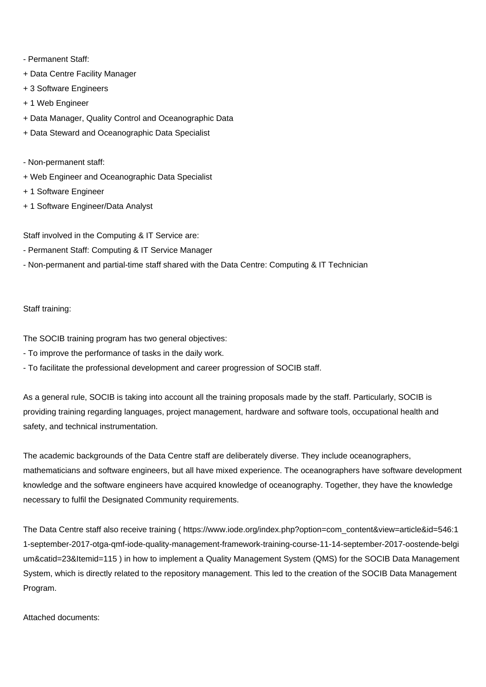- Permanent Staff:
- + Data Centre Facility Manager
- + 3 Software Engineers
- + 1 Web Engineer
- + Data Manager, Quality Control and Oceanographic Data
- + Data Steward and Oceanographic Data Specialist
- Non-permanent staff:
- + Web Engineer and Oceanographic Data Specialist
- + 1 Software Engineer
- + 1 Software Engineer/Data Analyst

Staff involved in the Computing & IT Service are:

- Permanent Staff: Computing & IT Service Manager
- Non-permanent and partial-time staff shared with the Data Centre: Computing & IT Technician

## Staff training:

The SOCIB training program has two general objectives:

- To improve the performance of tasks in the daily work.
- To facilitate the professional development and career progression of SOCIB staff.

As a general rule, SOCIB is taking into account all the training proposals made by the staff. Particularly, SOCIB is providing training regarding languages, project management, hardware and software tools, occupational health and safety, and technical instrumentation.

The academic backgrounds of the Data Centre staff are deliberately diverse. They include oceanographers, mathematicians and software engineers, but all have mixed experience. The oceanographers have software development knowledge and the software engineers have acquired knowledge of oceanography. Together, they have the knowledge necessary to fulfil the Designated Community requirements.

The Data Centre staff also receive training ( [https://www.iode.org/index.php?option=com\\_content&view=article&id=546:1](https://www.iode.org/index.php?option=com_content&view=article&id=546:11-september-2017-otga-qmf-iode-quality-management-framework-training-course-11-14-september-2017-oostende-belgium&catid=23&Itemid=115) [1-september-2017-otga-qmf-iode-quality-management-framework-training-course-11-14-september-2017-oostende-belgi](https://www.iode.org/index.php?option=com_content&view=article&id=546:11-september-2017-otga-qmf-iode-quality-management-framework-training-course-11-14-september-2017-oostende-belgium&catid=23&Itemid=115) [um&catid=23&Itemid=115](https://www.iode.org/index.php?option=com_content&view=article&id=546:11-september-2017-otga-qmf-iode-quality-management-framework-training-course-11-14-september-2017-oostende-belgium&catid=23&Itemid=115) ) in how to implement a Quality Management System (QMS) for the SOCIB Data Management System, which is directly related to the repository management. This led to the creation of the SOCIB Data Management Program.

Attached documents: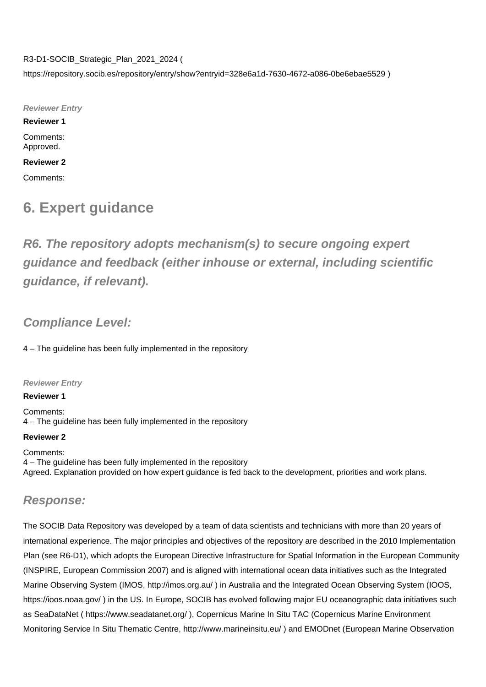R3-D1-SOCIB\_Strategic\_Plan\_2021\_2024 ( <https://repository.socib.es/repository/entry/show?entryid=328e6a1d-7630-4672-a086-0be6ebae5529> )

**Reviewer Entry**

**Reviewer 1**

Comments: Approved.

**Reviewer 2** Comments:

# **6. Expert guidance**

**R6. The repository adopts mechanism(s) to secure ongoing expert guidance and feedback (either inhouse or external, including scientific guidance, if relevant).**

# **Compliance Level:**

4 – The guideline has been fully implemented in the repository

**Reviewer Entry**

**Reviewer 1**

Comments: 4 – The guideline has been fully implemented in the repository

## **Reviewer 2**

Comments: 4 – The guideline has been fully implemented in the repository Agreed. Explanation provided on how expert guidance is fed back to the development, priorities and work plans.

# **Response:**

The SOCIB Data Repository was developed by a team of data scientists and technicians with more than 20 years of international experience. The major principles and objectives of the repository are described in the 2010 Implementation Plan (see R6-D1), which adopts the European Directive Infrastructure for Spatial Information in the European Community (INSPIRE, European Commission 2007) and is aligned with international ocean data initiatives such as the Integrated Marine Observing System (IMOS, <http://imos.org.au/>) in Australia and the Integrated Ocean Observing System (IOOS, <https://ioos.noaa.gov/> ) in the US. In Europe, SOCIB has evolved following major EU oceanographic data initiatives such as SeaDataNet (<https://www.seadatanet.org/>), Copernicus Marine In Situ TAC (Copernicus Marine Environment Monitoring Service In Situ Thematic Centre, <http://www.marineinsitu.eu/>) and EMODnet (European Marine Observation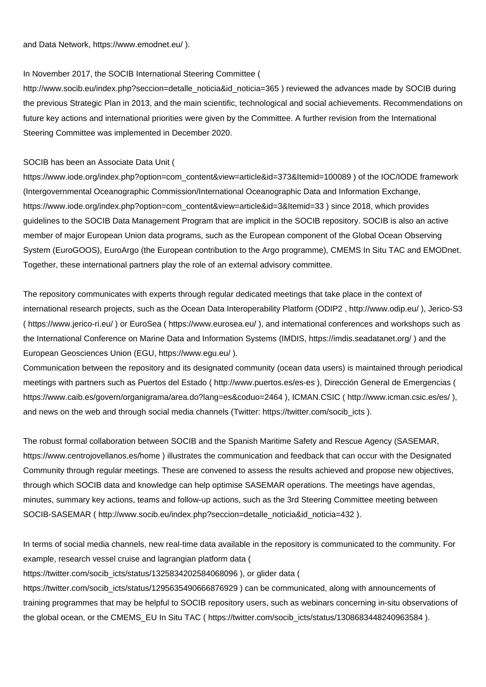and Data Network, <https://www.emodnet.eu/>).

#### In November 2017, the SOCIB International Steering Committee (

[http://www.socib.eu/index.php?seccion=detalle\\_noticia&id\\_noticia=365](http://www.socib.eu/index.php?seccion=detalle_noticia&id_noticia=365) ) reviewed the advances made by SOCIB during the previous Strategic Plan in 2013, and the main scientific, technological and social achievements. Recommendations on future key actions and international priorities were given by the Committee. A further revision from the International Steering Committee was implemented in December 2020.

### SOCIB has been an Associate Data Unit (

[https://www.iode.org/index.php?option=com\\_content&view=article&id=373&Itemid=100089](https://www.iode.org/index.php?option=com_content&view=article&id=373&Itemid=100089) ) of the IOC/IODE framework (Intergovernmental Oceanographic Commission/International Oceanographic Data and Information Exchange, [https://www.iode.org/index.php?option=com\\_content&view=article&id=3&Itemid=33](https://www.iode.org/index.php?option=com_content&view=article&id=3&Itemid=33) ) since 2018, which provides guidelines to the SOCIB Data Management Program that are implicit in the SOCIB repository. SOCIB is also an active member of major European Union data programs, such as the European component of the Global Ocean Observing System (EuroGOOS), EuroArgo (the European contribution to the Argo programme), CMEMS In Situ TAC and EMODnet. Together, these international partners play the role of an external advisory committee.

The repository communicates with experts through regular dedicated meetings that take place in the context of international research projects, such as the Ocean Data Interoperability Platform (ODIP2 , <http://www.odip.eu/>), Jerico-S3 (<https://www.jerico-ri.eu/> ) or EuroSea ( <https://www.eurosea.eu/>), and international conferences and workshops such as the International Conference on Marine Data and Information Systems (IMDIS,<https://imdis.seadatanet.org/> ) and the European Geosciences Union (EGU, <https://www.egu.eu/> ).

Communication between the repository and its designated community (ocean data users) is maintained through periodical meetings with partners such as Puertos del Estado (<http://www.puertos.es/es-es>), Dirección General de Emergencias ( <https://www.caib.es/govern/organigrama/area.do?lang=es&coduo=2464>), ICMAN.CSIC ( <http://www.icman.csic.es/es/>), and news on the web and through social media channels (Twitter: [https://twitter.com/socib\\_icts](https://twitter.com/socib_icts) ).

The robust formal collaboration between SOCIB and the Spanish Maritime Safety and Rescue Agency (SASEMAR, <https://www.centrojovellanos.es/home> ) illustrates the communication and feedback that can occur with the Designated Community through regular meetings. These are convened to assess the results achieved and propose new objectives, through which SOCIB data and knowledge can help optimise SASEMAR operations. The meetings have agendas, minutes, summary key actions, teams and follow-up actions, such as the 3rd Steering Committee meeting between SOCIB-SASEMAR ( [http://www.socib.eu/index.php?seccion=detalle\\_noticia&id\\_noticia=432](http://www.socib.eu/index.php?seccion=detalle_noticia&id_noticia=432) ).

In terms of social media channels, new real-time data available in the repository is communicated to the community. For example, research vessel cruise and lagrangian platform data (

[https://twitter.com/socib\\_icts/status/1325834202584068096](https://twitter.com/socib_icts/status/1325834202584068096) ), or glider data (

[https://twitter.com/socib\\_icts/status/1295635490666876929](https://twitter.com/socib_icts/status/1295635490666876929)) can be communicated, along with announcements of training programmes that may be helpful to SOCIB repository users, such as webinars concerning in-situ observations of the global ocean, or the CMEMS\_EU In Situ TAC ( [https://twitter.com/socib\\_icts/status/1308683448240963584](https://twitter.com/socib_icts/status/1308683448240963584) ).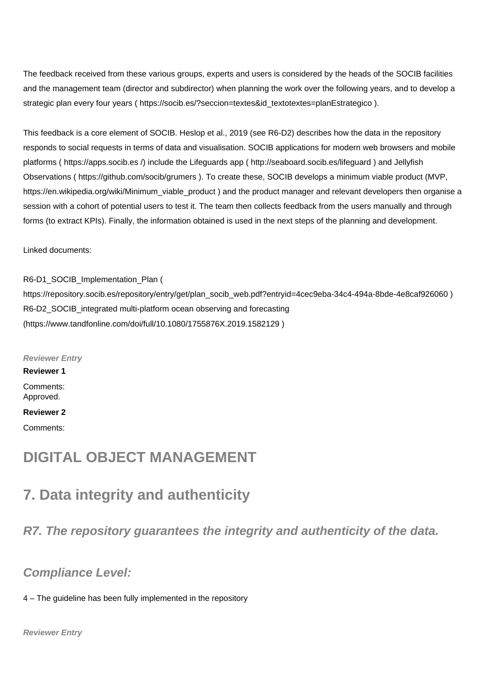The feedback received from these various groups, experts and users is considered by the heads of the SOCIB facilities and the management team (director and subdirector) when planning the work over the following years, and to develop a strategic plan every four years ( [https://socib.es/?seccion=textes&id\\_textotextes=planEstrategico](https://socib.es/?seccion=textes&id_textotextes=planEstrategico) ).

This feedback is a core element of SOCIB. Heslop et al., 2019 (see R6-D2) describes how the data in the repository responds to social requests in terms of data and visualisation. SOCIB applications for modern web browsers and mobile platforms (<https://apps.socib.es>/) include the Lifeguards app (<http://seaboard.socib.es/lifeguard>) and Jellyfish Observations (<https://github.com/socib/grumers>). To create these, SOCIB develops a minimum viable product (MVP, [https://en.wikipedia.org/wiki/Minimum\\_viable\\_product](https://en.wikipedia.org/wiki/Minimum_viable_product) ) and the product manager and relevant developers then organise a session with a cohort of potential users to test it. The team then collects feedback from the users manually and through forms (to extract KPIs). Finally, the information obtained is used in the next steps of the planning and development.

Linked documents:

R6-D1\_SOCIB\_Implementation\_Plan (

[https://repository.socib.es/repository/entry/get/plan\\_socib\\_web.pdf?entryid=4cec9eba-34c4-494a-8bde-4e8caf926060](https://repository.socib.es/repository/entry/get/plan_socib_web.pdf?entryid=4cec9eba-34c4-494a-8bde-4e8caf926060) ) R6-D2\_SOCIB\_integrated multi-platform ocean observing and forecasting (<https://www.tandfonline.com/doi/full/10.1080/1755876X.2019.1582129> )

**Reviewer Entry**

**Reviewer 1**

Comments: Approved.

#### **Reviewer 2**

Comments:

# **DIGITAL OBJECT MANAGEMENT**

# **7. Data integrity and authenticity**

**R7. The repository guarantees the integrity and authenticity of the data.**

# **Compliance Level:**

4 – The guideline has been fully implemented in the repository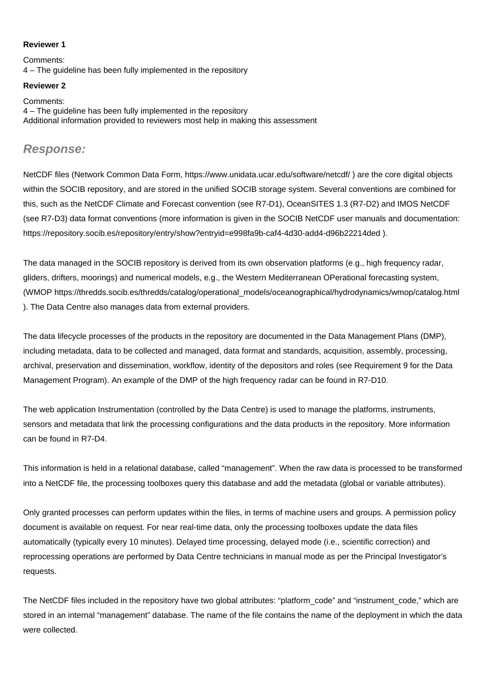### **Reviewer 1**

Comments: 4 – The guideline has been fully implemented in the repository

# **Reviewer 2**

Comments: 4 – The guideline has been fully implemented in the repository Additional information provided to reviewers most help in making this assessment

## **Response:**

NetCDF files (Network Common Data Form, <https://www.unidata.ucar.edu/software/netcdf/> ) are the core digital objects within the SOCIB repository, and are stored in the unified SOCIB storage system. Several conventions are combined for this, such as the NetCDF Climate and Forecast convention (see R7-D1), OceanSITES 1.3 (R7-D2) and IMOS NetCDF (see R7-D3) data format conventions (more information is given in the SOCIB NetCDF user manuals and documentation: <https://repository.socib.es/repository/entry/show?entryid=e998fa9b-caf4-4d30-add4-d96b22214ded> ).

The data managed in the SOCIB repository is derived from its own observation platforms (e.g., high frequency radar, gliders, drifters, moorings) and numerical models, e.g., the Western Mediterranean OPerational forecasting system, (WMOP [https://thredds.socib.es/thredds/catalog/operational\\_models/oceanographical/hydrodynamics/wmop/catalog.html](https://thredds.socib.es/thredds/catalog/operational_models/oceanographical/hydrodynamics/wmop/catalog.html) ). The Data Centre also manages data from external providers.

The data lifecycle processes of the products in the repository are documented in the Data Management Plans (DMP), including metadata, data to be collected and managed, data format and standards, acquisition, assembly, processing, archival, preservation and dissemination, workflow, identity of the depositors and roles (see Requirement 9 for the Data Management Program). An example of the DMP of the high frequency radar can be found in R7-D10.

The web application Instrumentation (controlled by the Data Centre) is used to manage the platforms, instruments, sensors and metadata that link the processing configurations and the data products in the repository. More information can be found in R7-D4.

This information is held in a relational database, called "management". When the raw data is processed to be transformed into a NetCDF file, the processing toolboxes query this database and add the metadata (global or variable attributes).

Only granted processes can perform updates within the files, in terms of machine users and groups. A permission policy document is available on request. For near real-time data, only the processing toolboxes update the data files automatically (typically every 10 minutes). Delayed time processing, delayed mode (i.e., scientific correction) and reprocessing operations are performed by Data Centre technicians in manual mode as per the Principal Investigator's requests.

The NetCDF files included in the repository have two global attributes: "platform\_code" and "instrument\_code," which are stored in an internal "management" database. The name of the file contains the name of the deployment in which the data were collected.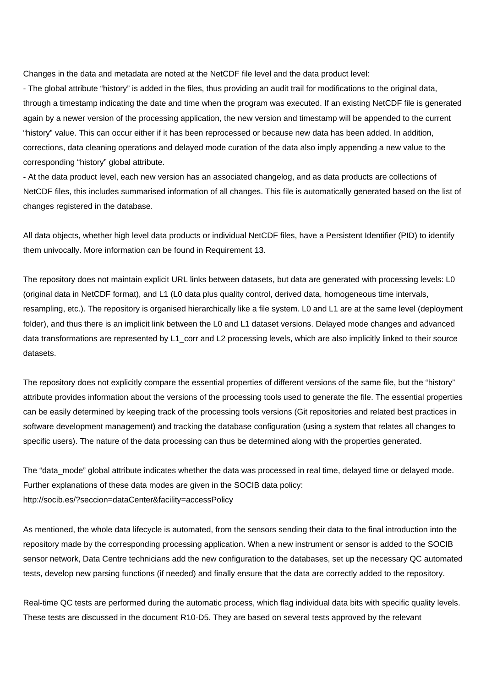Changes in the data and metadata are noted at the NetCDF file level and the data product level:

- The global attribute "history" is added in the files, thus providing an audit trail for modifications to the original data, through a timestamp indicating the date and time when the program was executed. If an existing NetCDF file is generated again by a newer version of the processing application, the new version and timestamp will be appended to the current "history" value. This can occur either if it has been reprocessed or because new data has been added. In addition, corrections, data cleaning operations and delayed mode curation of the data also imply appending a new value to the corresponding "history" global attribute.

- At the data product level, each new version has an associated changelog, and as data products are collections of NetCDF files, this includes summarised information of all changes. This file is automatically generated based on the list of changes registered in the database.

All data objects, whether high level data products or individual NetCDF files, have a Persistent Identifier (PID) to identify them univocally. More information can be found in Requirement 13.

The repository does not maintain explicit URL links between datasets, but data are generated with processing levels: L0 (original data in NetCDF format), and L1 (L0 data plus quality control, derived data, homogeneous time intervals, resampling, etc.). The repository is organised hierarchically like a file system. L0 and L1 are at the same level (deployment folder), and thus there is an implicit link between the L0 and L1 dataset versions. Delayed mode changes and advanced data transformations are represented by L1 corr and L2 processing levels, which are also implicitly linked to their source datasets.

The repository does not explicitly compare the essential properties of different versions of the same file, but the "history" attribute provides information about the versions of the processing tools used to generate the file. The essential properties can be easily determined by keeping track of the processing tools versions (Git repositories and related best practices in software development management) and tracking the database configuration (using a system that relates all changes to specific users). The nature of the data processing can thus be determined along with the properties generated.

The "data mode" global attribute indicates whether the data was processed in real time, delayed time or delayed mode. Further explanations of these data modes are given in the SOCIB data policy: <http://socib.es/?seccion=dataCenter&facility=accessPolicy>

As mentioned, the whole data lifecycle is automated, from the sensors sending their data to the final introduction into the repository made by the corresponding processing application. When a new instrument or sensor is added to the SOCIB sensor network, Data Centre technicians add the new configuration to the databases, set up the necessary QC automated tests, develop new parsing functions (if needed) and finally ensure that the data are correctly added to the repository.

Real-time QC tests are performed during the automatic process, which flag individual data bits with specific quality levels. These tests are discussed in the document R10-D5. They are based on several tests approved by the relevant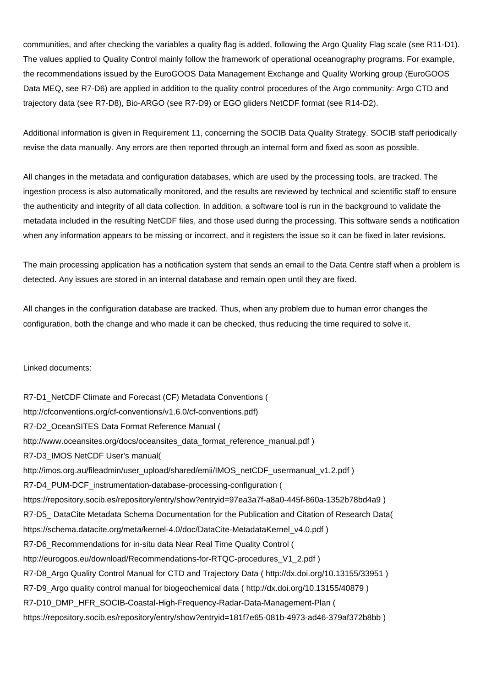communities, and after checking the variables a quality flag is added, following the Argo Quality Flag scale (see R11-D1). The values applied to Quality Control mainly follow the framework of operational oceanography programs. For example, the recommendations issued by the EuroGOOS Data Management Exchange and Quality Working group (EuroGOOS Data MEQ, see R7-D6) are applied in addition to the quality control procedures of the Argo community: Argo CTD and trajectory data (see R7-D8), Bio-ARGO (see R7-D9) or EGO gliders NetCDF format (see R14-D2).

Additional information is given in Requirement 11, concerning the SOCIB Data Quality Strategy. SOCIB staff periodically revise the data manually. Any errors are then reported through an internal form and fixed as soon as possible.

All changes in the metadata and configuration databases, which are used by the processing tools, are tracked. The ingestion process is also automatically monitored, and the results are reviewed by technical and scientific staff to ensure the authenticity and integrity of all data collection. In addition, a software tool is run in the background to validate the metadata included in the resulting NetCDF files, and those used during the processing. This software sends a notification when any information appears to be missing or incorrect, and it registers the issue so it can be fixed in later revisions.

The main processing application has a notification system that sends an email to the Data Centre staff when a problem is detected. Any issues are stored in an internal database and remain open until they are fixed.

All changes in the configuration database are tracked. Thus, when any problem due to human error changes the configuration, both the change and who made it can be checked, thus reducing the time required to solve it.

Linked documents:

R7-D1\_NetCDF Climate and Forecast (CF) Metadata Conventions ( [http://cfconventions.org/cf-conventions/v1.6.0/cf-conventions.pdf\)](http://cfconventions.org/cf-conventions/v1.6.0/cf-conventions.pdf) R7-D2\_OceanSITES Data Format Reference Manual ( [http://www.oceansites.org/docs/oceansites\\_data\\_format\\_reference\\_manual.pdf](http://www.oceansites.org/docs/oceansites_data_format_reference_manual.pdf) ) R7-D3\_IMOS NetCDF User's manual( [http://imos.org.au/fileadmin/user\\_upload/shared/emii/IMOS\\_netCDF\\_usermanual\\_v1.2.pdf](http://imos.org.au/fileadmin/user_upload/shared/emii/IMOS_netCDF_usermanual_v1.2.pdf) ) R7-D4\_PUM-DCF\_instrumentation-database-processing-configuration ( <https://repository.socib.es/repository/entry/show?entryid=97ea3a7f-a8a0-445f-860a-1352b78bd4a9>) R7-D5\_ DataCite Metadata Schema Documentation for the Publication and Citation of Research Data( [https://schema.datacite.org/meta/kernel-4.0/doc/DataCite-MetadataKernel\\_v4.0.pdf](https://schema.datacite.org/meta/kernel-4.0/doc/DataCite-MetadataKernel_v4.0.pdf) ) R7-D6\_Recommendations for in-situ data Near Real Time Quality Control ( [http://eurogoos.eu/download/Recommendations-for-RTQC-procedures\\_V1\\_2.pdf](http://eurogoos.eu/download/Recommendations-for-RTQC-procedures_V1_2.pdf) ) R7-D8\_Argo Quality Control Manual for CTD and Trajectory Data ( <http://dx.doi.org/10.13155/33951>) R7-D9\_Argo quality control manual for biogeochemical data ( <http://dx.doi.org/10.13155/40879>) R7-D10\_DMP\_HFR\_SOCIB-Coastal-High-Frequency-Radar-Data-Management-Plan ( <https://repository.socib.es/repository/entry/show?entryid=181f7e65-081b-4973-ad46-379af372b8bb>)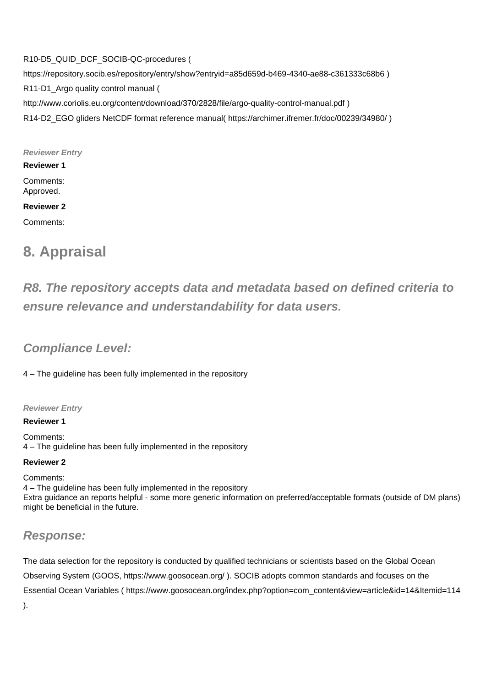R10-D5\_QUID\_DCF\_SOCIB-QC-procedures ( <https://repository.socib.es/repository/entry/show?entryid=a85d659d-b469-4340-ae88-c361333c68b6> ) R11-D1\_Argo quality control manual ( <http://www.coriolis.eu.org/content/download/370/2828/file/argo-quality-control-manual.pdf> ) R14-D2\_EGO gliders NetCDF format reference manual( <https://archimer.ifremer.fr/doc/00239/34980/> )

**Reviewer Entry**

**Reviewer 1**

Comments: Approved.

## **Reviewer 2**

Comments:

# **8. Appraisal**

# **R8. The repository accepts data and metadata based on defined criteria to ensure relevance and understandability for data users.**

# **Compliance Level:**

4 – The guideline has been fully implemented in the repository

### **Reviewer Entry**

### **Reviewer 1**

Comments: 4 – The guideline has been fully implemented in the repository

### **Reviewer 2**

Comments: 4 – The guideline has been fully implemented in the repository Extra guidance an reports helpful - some more generic information on preferred/acceptable formats (outside of DM plans) might be beneficial in the future.

# **Response:**

The data selection for the repository is conducted by qualified technicians or scientists based on the Global Ocean Observing System (GOOS, <https://www.goosocean.org/> ). SOCIB adopts common standards and focuses on the Essential Ocean Variables ( [https://www.goosocean.org/index.php?option=com\\_content&view=article&id=14&Itemid=114](https://www.goosocean.org/index.php?option=com_content&view=article&id=14&Itemid=114) ).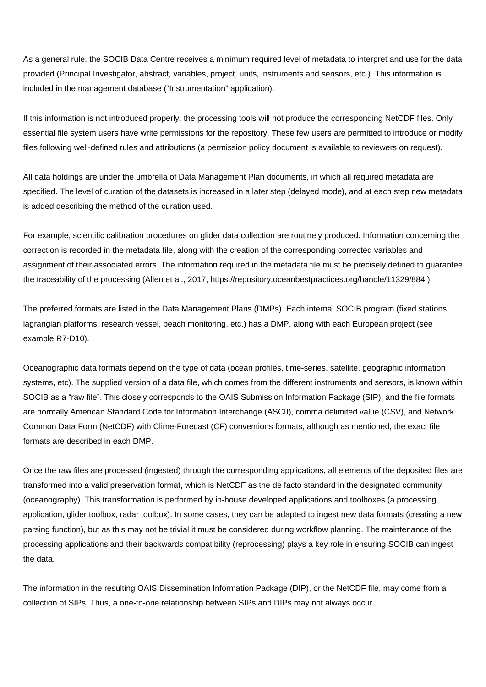As a general rule, the SOCIB Data Centre receives a minimum required level of metadata to interpret and use for the data provided (Principal Investigator, abstract, variables, project, units, instruments and sensors, etc.). This information is included in the management database ("Instrumentation" application).

If this information is not introduced properly, the processing tools will not produce the corresponding NetCDF files. Only essential file system users have write permissions for the repository. These few users are permitted to introduce or modify files following well-defined rules and attributions (a permission policy document is available to reviewers on request).

All data holdings are under the umbrella of Data Management Plan documents, in which all required metadata are specified. The level of curation of the datasets is increased in a later step (delayed mode), and at each step new metadata is added describing the method of the curation used.

For example, scientific calibration procedures on glider data collection are routinely produced. Information concerning the correction is recorded in the metadata file, along with the creation of the corresponding corrected variables and assignment of their associated errors. The information required in the metadata file must be precisely defined to guarantee the traceability of the processing (Allen et al., 2017, <https://repository.oceanbestpractices.org/handle/11329/884>).

The preferred formats are listed in the Data Management Plans (DMPs). Each internal SOCIB program (fixed stations, lagrangian platforms, research vessel, beach monitoring, etc.) has a DMP, along with each European project (see example R7-D10).

Oceanographic data formats depend on the type of data (ocean profiles, time-series, satellite, geographic information systems, etc). The supplied version of a data file, which comes from the different instruments and sensors, is known within SOCIB as a "raw file". This closely corresponds to the OAIS Submission Information Package (SIP), and the file formats are normally American Standard Code for Information Interchange (ASCII), comma delimited value (CSV), and Network Common Data Form (NetCDF) with Clime-Forecast (CF) conventions formats, although as mentioned, the exact file formats are described in each DMP.

Once the raw files are processed (ingested) through the corresponding applications, all elements of the deposited files are transformed into a valid preservation format, which is NetCDF as the de facto standard in the designated community (oceanography). This transformation is performed by in-house developed applications and toolboxes (a processing application, glider toolbox, radar toolbox). In some cases, they can be adapted to ingest new data formats (creating a new parsing function), but as this may not be trivial it must be considered during workflow planning. The maintenance of the processing applications and their backwards compatibility (reprocessing) plays a key role in ensuring SOCIB can ingest the data.

The information in the resulting OAIS Dissemination Information Package (DIP), or the NetCDF file, may come from a collection of SIPs. Thus, a one-to-one relationship between SIPs and DIPs may not always occur.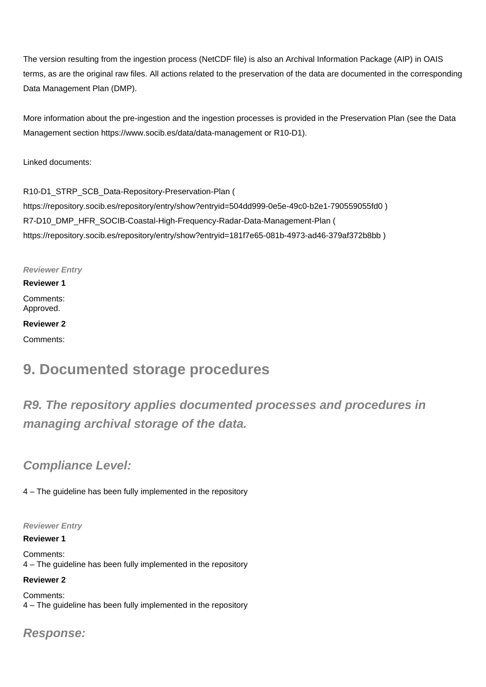The version resulting from the ingestion process (NetCDF file) is also an Archival Information Package (AIP) in OAIS terms, as are the original raw files. All actions related to the preservation of the data are documented in the corresponding Data Management Plan (DMP).

More information about the pre-ingestion and the ingestion processes is provided in the Preservation Plan (see the Data Management section <https://www.socib.es/data/data-management> or R10-D1).

Linked documents:

R10-D1\_STRP\_SCB\_Data-Repository-Preservation-Plan ( <https://repository.socib.es/repository/entry/show?entryid=504dd999-0e5e-49c0-b2e1-790559055fd0>) R7-D10\_DMP\_HFR\_SOCIB-Coastal-High-Frequency-Radar-Data-Management-Plan ( <https://repository.socib.es/repository/entry/show?entryid=181f7e65-081b-4973-ad46-379af372b8bb>)

## **Reviewer Entry**

# **Reviewer 1**

Comments: Approved.

### **Reviewer 2**

Comments:

# **9. Documented storage procedures**

# **R9. The repository applies documented processes and procedures in managing archival storage of the data.**

# **Compliance Level:**

4 – The guideline has been fully implemented in the repository

### **Reviewer Entry**

**Reviewer 1**

Comments: 4 – The guideline has been fully implemented in the repository

### **Reviewer 2**

Comments: 4 – The guideline has been fully implemented in the repository

**Response:**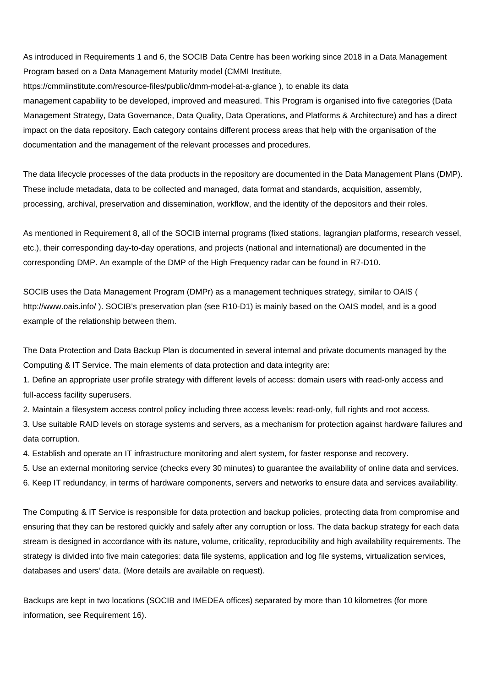As introduced in Requirements 1 and 6, the SOCIB Data Centre has been working since 2018 in a Data Management Program based on a Data Management Maturity model (CMMI Institute,

<https://cmmiinstitute.com/resource-files/public/dmm-model-at-a-glance>), to enable its data management capability to be developed, improved and measured. This Program is organised into five categories (Data Management Strategy, Data Governance, Data Quality, Data Operations, and Platforms & Architecture) and has a direct impact on the data repository. Each category contains different process areas that help with the organisation of the documentation and the management of the relevant processes and procedures.

The data lifecycle processes of the data products in the repository are documented in the Data Management Plans (DMP). These include metadata, data to be collected and managed, data format and standards, acquisition, assembly, processing, archival, preservation and dissemination, workflow, and the identity of the depositors and their roles.

As mentioned in Requirement 8, all of the SOCIB internal programs (fixed stations, lagrangian platforms, research vessel, etc.), their corresponding day-to-day operations, and projects (national and international) are documented in the corresponding DMP. An example of the DMP of the High Frequency radar can be found in R7-D10.

SOCIB uses the Data Management Program (DMPr) as a management techniques strategy, similar to OAIS ( <http://www.oais.info/>). SOCIB's preservation plan (see R10-D1) is mainly based on the OAIS model, and is a good example of the relationship between them.

The Data Protection and Data Backup Plan is documented in several internal and private documents managed by the Computing & IT Service. The main elements of data protection and data integrity are:

1. Define an appropriate user profile strategy with different levels of access: domain users with read-only access and full-access facility superusers.

2. Maintain a filesystem access control policy including three access levels: read-only, full rights and root access.

3. Use suitable RAID levels on storage systems and servers, as a mechanism for protection against hardware failures and data corruption.

4. Establish and operate an IT infrastructure monitoring and alert system, for faster response and recovery.

5. Use an external monitoring service (checks every 30 minutes) to guarantee the availability of online data and services.

6. Keep IT redundancy, in terms of hardware components, servers and networks to ensure data and services availability.

The Computing & IT Service is responsible for data protection and backup policies, protecting data from compromise and ensuring that they can be restored quickly and safely after any corruption or loss. The data backup strategy for each data stream is designed in accordance with its nature, volume, criticality, reproducibility and high availability requirements. The strategy is divided into five main categories: data file systems, application and log file systems, virtualization services, databases and users' data. (More details are available on request).

Backups are kept in two locations (SOCIB and IMEDEA offices) separated by more than 10 kilometres (for more information, see Requirement 16).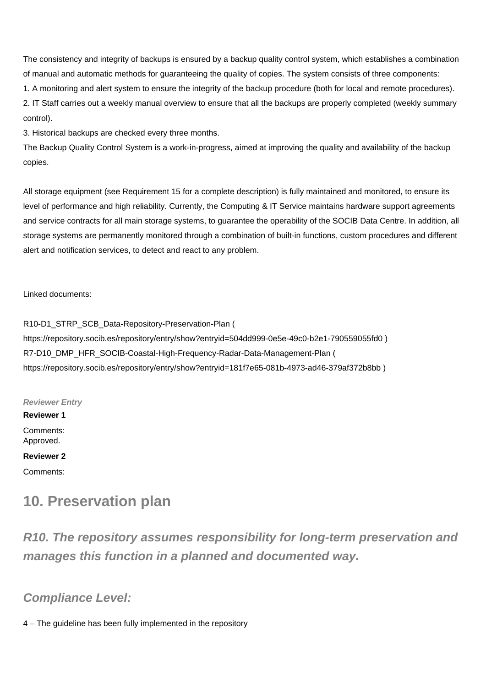The consistency and integrity of backups is ensured by a backup quality control system, which establishes a combination of manual and automatic methods for guaranteeing the quality of copies. The system consists of three components:

1. A monitoring and alert system to ensure the integrity of the backup procedure (both for local and remote procedures).

2. IT Staff carries out a weekly manual overview to ensure that all the backups are properly completed (weekly summary control).

3. Historical backups are checked every three months.

The Backup Quality Control System is a work-in-progress, aimed at improving the quality and availability of the backup copies.

All storage equipment (see Requirement 15 for a complete description) is fully maintained and monitored, to ensure its level of performance and high reliability. Currently, the Computing & IT Service maintains hardware support agreements and service contracts for all main storage systems, to guarantee the operability of the SOCIB Data Centre. In addition, all storage systems are permanently monitored through a combination of built-in functions, custom procedures and different alert and notification services, to detect and react to any problem.

Linked documents:

R10-D1\_STRP\_SCB\_Data-Repository-Preservation-Plan ( <https://repository.socib.es/repository/entry/show?entryid=504dd999-0e5e-49c0-b2e1-790559055fd0>) R7-D10\_DMP\_HFR\_SOCIB-Coastal-High-Frequency-Radar-Data-Management-Plan ( <https://repository.socib.es/repository/entry/show?entryid=181f7e65-081b-4973-ad46-379af372b8bb>)

**Reviewer Entry Reviewer 1** Comments: Approved. **Reviewer 2** Comments:

# **10. Preservation plan**

**R10. The repository assumes responsibility for long-term preservation and manages this function in a planned and documented way.**

**Compliance Level:**

4 – The guideline has been fully implemented in the repository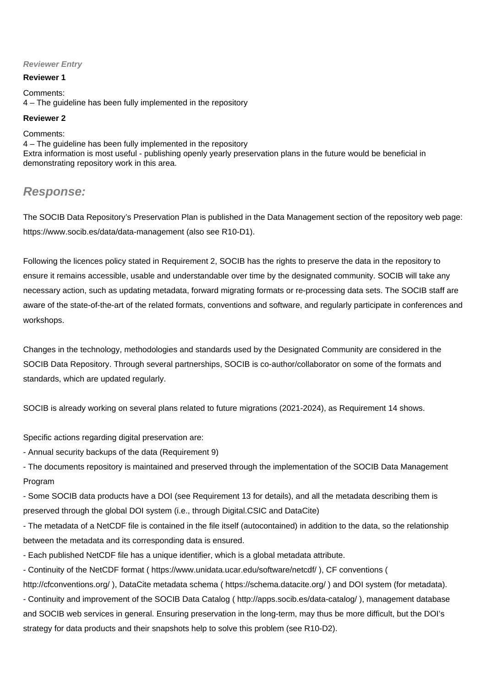### **Reviewer Entry**

#### **Reviewer 1**

Comments: 4 – The guideline has been fully implemented in the repository

#### **Reviewer 2**

Comments: 4 – The guideline has been fully implemented in the repository Extra information is most useful - publishing openly yearly preservation plans in the future would be beneficial in demonstrating repository work in this area.

# **Response:**

The SOCIB Data Repository's Preservation Plan is published in the Data Management section of the repository web page: <https://www.socib.es/data/data-management>(also see R10-D1).

Following the licences policy stated in Requirement 2, SOCIB has the rights to preserve the data in the repository to ensure it remains accessible, usable and understandable over time by the designated community. SOCIB will take any necessary action, such as updating metadata, forward migrating formats or re-processing data sets. The SOCIB staff are aware of the state-of-the-art of the related formats, conventions and software, and regularly participate in conferences and workshops.

Changes in the technology, methodologies and standards used by the Designated Community are considered in the SOCIB Data Repository. Through several partnerships, SOCIB is co-author/collaborator on some of the formats and standards, which are updated regularly.

SOCIB is already working on several plans related to future migrations (2021-2024), as Requirement 14 shows.

Specific actions regarding digital preservation are:

- Annual security backups of the data (Requirement 9)

- The documents repository is maintained and preserved through the implementation of the SOCIB Data Management Program

- Some SOCIB data products have a DOI (see Requirement 13 for details), and all the metadata describing them is preserved through the global DOI system (i.e., through Digital.CSIC and DataCite)

- The metadata of a NetCDF file is contained in the file itself (autocontained) in addition to the data, so the relationship between the metadata and its corresponding data is ensured.

- Each published NetCDF file has a unique identifier, which is a global metadata attribute.

- Continuity of the NetCDF format ( <https://www.unidata.ucar.edu/software/netcdf/>), CF conventions (

<http://cfconventions.org/>), DataCite metadata schema (<https://schema.datacite.org/> ) and DOI system (for metadata). - Continuity and improvement of the SOCIB Data Catalog ( <http://apps.socib.es/data-catalog/> ), management database and SOCIB web services in general. Ensuring preservation in the long-term, may thus be more difficult, but the DOI's strategy for data products and their snapshots help to solve this problem (see R10-D2).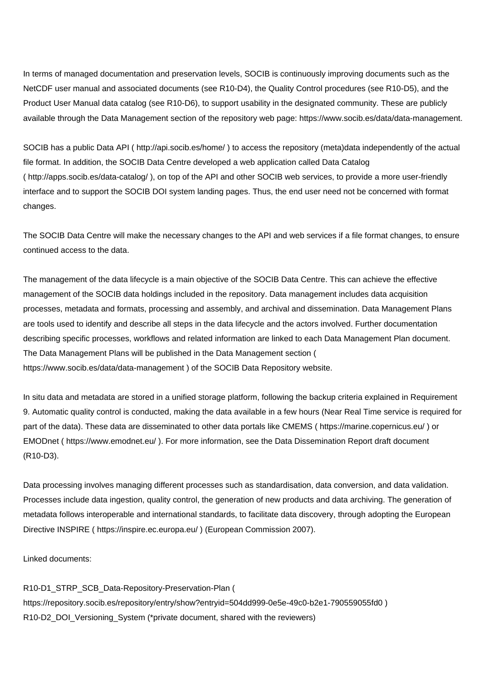In terms of managed documentation and preservation levels, SOCIB is continuously improving documents such as the NetCDF user manual and associated documents (see R10-D4), the Quality Control procedures (see R10-D5), and the Product User Manual data catalog (see R10-D6), to support usability in the designated community. These are publicly available through the Data Management section of the repository web page: <https://www.socib.es/data/data-management.>

SOCIB has a public Data API (<http://api.socib.es/home/>) to access the repository (meta)data independently of the actual file format. In addition, the SOCIB Data Centre developed a web application called Data Catalog (<http://apps.socib.es/data-catalog/> ), on top of the API and other SOCIB web services, to provide a more user-friendly interface and to support the SOCIB DOI system landing pages. Thus, the end user need not be concerned with format changes.

The SOCIB Data Centre will make the necessary changes to the API and web services if a file format changes, to ensure continued access to the data.

The management of the data lifecycle is a main objective of the SOCIB Data Centre. This can achieve the effective management of the SOCIB data holdings included in the repository. Data management includes data acquisition processes, metadata and formats, processing and assembly, and archival and dissemination. Data Management Plans are tools used to identify and describe all steps in the data lifecycle and the actors involved. Further documentation describing specific processes, workflows and related information are linked to each Data Management Plan document. The Data Management Plans will be published in the Data Management section ( <https://www.socib.es/data/data-management>) of the SOCIB Data Repository website.

In situ data and metadata are stored in a unified storage platform, following the backup criteria explained in Requirement 9. Automatic quality control is conducted, making the data available in a few hours (Near Real Time service is required for part of the data). These data are disseminated to other data portals like CMEMS ( <https://marine.copernicus.eu/> ) or EMODnet (<https://www.emodnet.eu/> ). For more information, see the Data Dissemination Report draft document (R10-D3).

Data processing involves managing different processes such as standardisation, data conversion, and data validation. Processes include data ingestion, quality control, the generation of new products and data archiving. The generation of metadata follows interoperable and international standards, to facilitate data discovery, through adopting the European Directive INSPIRE ( <https://inspire.ec.europa.eu/> ) (European Commission 2007).

Linked documents:

R10-D1\_STRP\_SCB\_Data-Repository-Preservation-Plan ( <https://repository.socib.es/repository/entry/show?entryid=504dd999-0e5e-49c0-b2e1-790559055fd0>) R10-D2\_DOI\_Versioning\_System (\*private document, shared with the reviewers)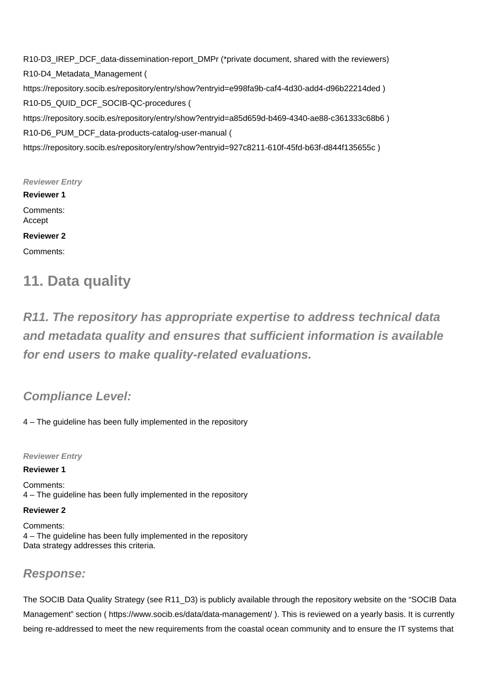R10-D3\_IREP\_DCF\_data-dissemination-report\_DMPr (\*private document, shared with the reviewers) R10-D4\_Metadata\_Management ( <https://repository.socib.es/repository/entry/show?entryid=e998fa9b-caf4-4d30-add4-d96b22214ded>) R10-D5\_QUID\_DCF\_SOCIB-QC-procedures ( <https://repository.socib.es/repository/entry/show?entryid=a85d659d-b469-4340-ae88-c361333c68b6> ) R10-D6\_PUM\_DCF\_data-products-catalog-user-manual ( <https://repository.socib.es/repository/entry/show?entryid=927c8211-610f-45fd-b63f-d844f135655c>)

**Reviewer Entry Reviewer 1** Comments: Accept **Reviewer 2** Comments:

# **11. Data quality**

**R11. The repository has appropriate expertise to address technical data and metadata quality and ensures that sufficient information is available for end users to make quality-related evaluations.**

**Compliance Level:**

4 – The guideline has been fully implemented in the repository

**Reviewer Entry**

**Reviewer 1**

Comments: 4 – The guideline has been fully implemented in the repository

**Reviewer 2** Comments: 4 – The guideline has been fully implemented in the repository Data strategy addresses this criteria.

# **Response:**

The SOCIB Data Quality Strategy (see R11\_D3) is publicly available through the repository website on the "SOCIB Data Management" section (<https://www.socib.es/data/data-management/> ). This is reviewed on a yearly basis. It is currently being re-addressed to meet the new requirements from the coastal ocean community and to ensure the IT systems that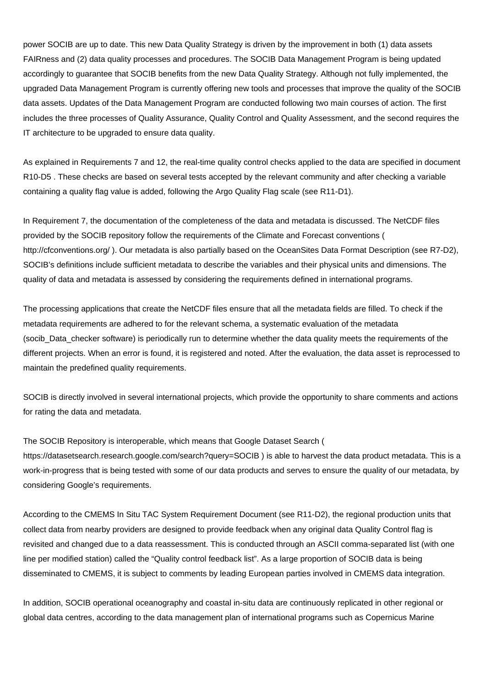power SOCIB are up to date. This new Data Quality Strategy is driven by the improvement in both (1) data assets FAIRness and (2) data quality processes and procedures. The SOCIB Data Management Program is being updated accordingly to guarantee that SOCIB benefits from the new Data Quality Strategy. Although not fully implemented, the upgraded Data Management Program is currently offering new tools and processes that improve the quality of the SOCIB data assets. Updates of the Data Management Program are conducted following two main courses of action. The first includes the three processes of Quality Assurance, Quality Control and Quality Assessment, and the second requires the IT architecture to be upgraded to ensure data quality.

As explained in Requirements 7 and 12, the real-time quality control checks applied to the data are specified in document R10-D5 . These checks are based on several tests accepted by the relevant community and after checking a variable containing a quality flag value is added, following the Argo Quality Flag scale (see R11-D1).

In Requirement 7, the documentation of the completeness of the data and metadata is discussed. The NetCDF files provided by the SOCIB repository follow the requirements of the Climate and Forecast conventions ( <http://cfconventions.org/>). Our metadata is also partially based on the OceanSites Data Format Description (see R7-D2), SOCIB's definitions include sufficient metadata to describe the variables and their physical units and dimensions. The quality of data and metadata is assessed by considering the requirements defined in international programs.

The processing applications that create the NetCDF files ensure that all the metadata fields are filled. To check if the metadata requirements are adhered to for the relevant schema, a systematic evaluation of the metadata (socib\_Data\_checker software) is periodically run to determine whether the data quality meets the requirements of the different projects. When an error is found, it is registered and noted. After the evaluation, the data asset is reprocessed to maintain the predefined quality requirements.

SOCIB is directly involved in several international projects, which provide the opportunity to share comments and actions for rating the data and metadata.

The SOCIB Repository is interoperable, which means that Google Dataset Search ( <https://datasetsearch.research.google.com/search?query=SOCIB>) is able to harvest the data product metadata. This is a work-in-progress that is being tested with some of our data products and serves to ensure the quality of our metadata, by considering Google's requirements.

According to the CMEMS In Situ TAC System Requirement Document (see R11-D2), the regional production units that collect data from nearby providers are designed to provide feedback when any original data Quality Control flag is revisited and changed due to a data reassessment. This is conducted through an ASCII comma-separated list (with one line per modified station) called the "Quality control feedback list". As a large proportion of SOCIB data is being disseminated to CMEMS, it is subject to comments by leading European parties involved in CMEMS data integration.

In addition, SOCIB operational oceanography and coastal in-situ data are continuously replicated in other regional or global data centres, according to the data management plan of international programs such as Copernicus Marine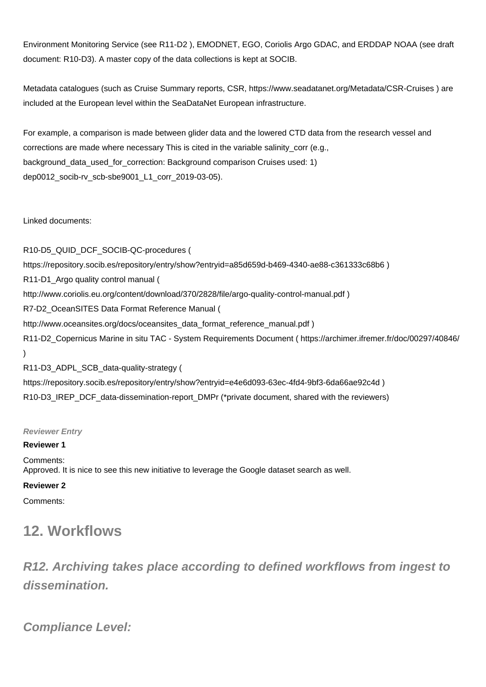Environment Monitoring Service (see R11-D2 ), EMODNET, EGO, Coriolis Argo GDAC, and ERDDAP NOAA (see draft document: R10-D3). A master copy of the data collections is kept at SOCIB.

Metadata catalogues (such as Cruise Summary reports, CSR,<https://www.seadatanet.org/Metadata/CSR-Cruises>) are included at the European level within the SeaDataNet European infrastructure.

For example, a comparison is made between glider data and the lowered CTD data from the research vessel and corrections are made where necessary This is cited in the variable salinity corr (e.g., background\_data\_used\_for\_correction: Background comparison Cruises used: 1) dep0012\_socib-rv\_scb-sbe9001\_L1\_corr\_2019-03-05).

Linked documents:

R10-D5\_QUID\_DCF\_SOCIB-QC-procedures ( <https://repository.socib.es/repository/entry/show?entryid=a85d659d-b469-4340-ae88-c361333c68b6> ) R11-D1\_Argo quality control manual ( <http://www.coriolis.eu.org/content/download/370/2828/file/argo-quality-control-manual.pdf> ) R7-D2\_OceanSITES Data Format Reference Manual ( [http://www.oceansites.org/docs/oceansites\\_data\\_format\\_reference\\_manual.pdf](http://www.oceansites.org/docs/oceansites_data_format_reference_manual.pdf) ) R11-D2\_Copernicus Marine in situ TAC - System Requirements Document (<https://archimer.ifremer.fr/doc/00297/40846/> ) R11-D3\_ADPL\_SCB\_data-quality-strategy ( <https://repository.socib.es/repository/entry/show?entryid=e4e6d093-63ec-4fd4-9bf3-6da66ae92c4d>) R10-D3\_IREP\_DCF\_data-dissemination-report\_DMPr (\*private document, shared with the reviewers)

**Reviewer Entry**

## **Reviewer 1**

Comments: Approved. It is nice to see this new initiative to leverage the Google dataset search as well.

## **Reviewer 2**

Comments:

# **12. Workflows**

**R12. Archiving takes place according to defined workflows from ingest to dissemination.**

**Compliance Level:**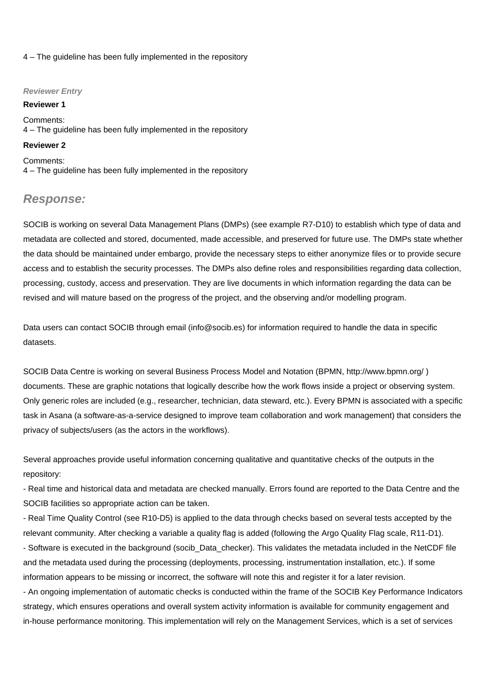#### 4 – The guideline has been fully implemented in the repository

#### **Reviewer Entry**

#### **Reviewer 1**

Comments: 4 – The guideline has been fully implemented in the repository

#### **Reviewer 2**

Comments: 4 – The guideline has been fully implemented in the repository

## **Response:**

SOCIB is working on several Data Management Plans (DMPs) (see example R7-D10) to establish which type of data and metadata are collected and stored, documented, made accessible, and preserved for future use. The DMPs state whether the data should be maintained under embargo, provide the necessary steps to either anonymize files or to provide secure access and to establish the security processes. The DMPs also define roles and responsibilities regarding data collection, processing, custody, access and preservation. They are live documents in which information regarding the data can be revised and will mature based on the progress of the project, and the observing and/or modelling program.

Data users can contact SOCIB through email (info@socib.es) for information required to handle the data in specific datasets.

SOCIB Data Centre is working on several Business Process Model and Notation (BPMN, <http://www.bpmn.org/> ) documents. These are graphic notations that logically describe how the work flows inside a project or observing system. Only generic roles are included (e.g., researcher, technician, data steward, etc.). Every BPMN is associated with a specific task in Asana (a software-as-a-service designed to improve team collaboration and work management) that considers the privacy of subjects/users (as the actors in the workflows).

Several approaches provide useful information concerning qualitative and quantitative checks of the outputs in the repository:

- Real time and historical data and metadata are checked manually. Errors found are reported to the Data Centre and the SOCIB facilities so appropriate action can be taken.

- Real Time Quality Control (see R10-D5) is applied to the data through checks based on several tests accepted by the relevant community. After checking a variable a quality flag is added (following the Argo Quality Flag scale, R11-D1). - Software is executed in the background (socib\_Data\_checker). This validates the metadata included in the NetCDF file and the metadata used during the processing (deployments, processing, instrumentation installation, etc.). If some information appears to be missing or incorrect, the software will note this and register it for a later revision.

- An ongoing implementation of automatic checks is conducted within the frame of the SOCIB Key Performance Indicators strategy, which ensures operations and overall system activity information is available for community engagement and in-house performance monitoring. This implementation will rely on the Management Services, which is a set of services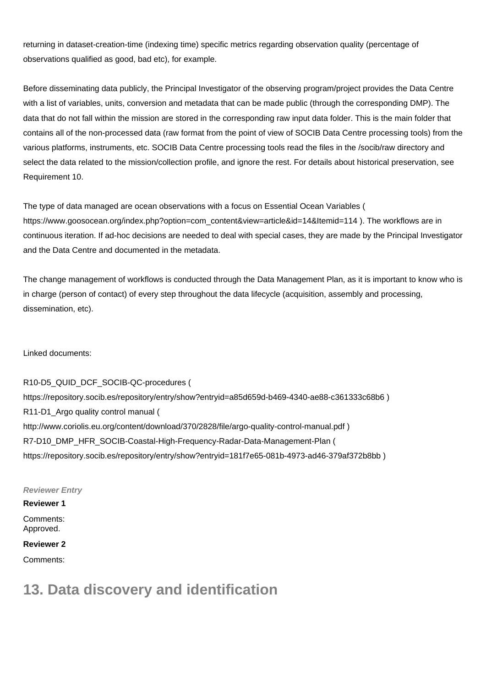returning in dataset-creation-time (indexing time) specific metrics regarding observation quality (percentage of observations qualified as good, bad etc), for example.

Before disseminating data publicly, the Principal Investigator of the observing program/project provides the Data Centre with a list of variables, units, conversion and metadata that can be made public (through the corresponding DMP). The data that do not fall within the mission are stored in the corresponding raw input data folder. This is the main folder that contains all of the non-processed data (raw format from the point of view of SOCIB Data Centre processing tools) from the various platforms, instruments, etc. SOCIB Data Centre processing tools read the files in the /socib/raw directory and select the data related to the mission/collection profile, and ignore the rest. For details about historical preservation, see Requirement 10.

The type of data managed are ocean observations with a focus on Essential Ocean Variables ( [https://www.goosocean.org/index.php?option=com\\_content&view=article&id=14&Itemid=114](https://www.goosocean.org/index.php?option=com_content&view=article&id=14&Itemid=114) ). The workflows are in continuous iteration. If ad-hoc decisions are needed to deal with special cases, they are made by the Principal Investigator and the Data Centre and documented in the metadata.

The change management of workflows is conducted through the Data Management Plan, as it is important to know who is in charge (person of contact) of every step throughout the data lifecycle (acquisition, assembly and processing, dissemination, etc).

Linked documents:

R10-D5\_QUID\_DCF\_SOCIB-QC-procedures ( <https://repository.socib.es/repository/entry/show?entryid=a85d659d-b469-4340-ae88-c361333c68b6> ) R11-D1\_Argo quality control manual ( <http://www.coriolis.eu.org/content/download/370/2828/file/argo-quality-control-manual.pdf> ) R7-D10\_DMP\_HFR\_SOCIB-Coastal-High-Frequency-Radar-Data-Management-Plan ( <https://repository.socib.es/repository/entry/show?entryid=181f7e65-081b-4973-ad46-379af372b8bb>)

**Reviewer Entry**

## **Reviewer 1** Comments: Approved.

**Reviewer 2**

Comments:

# **13. Data discovery and identification**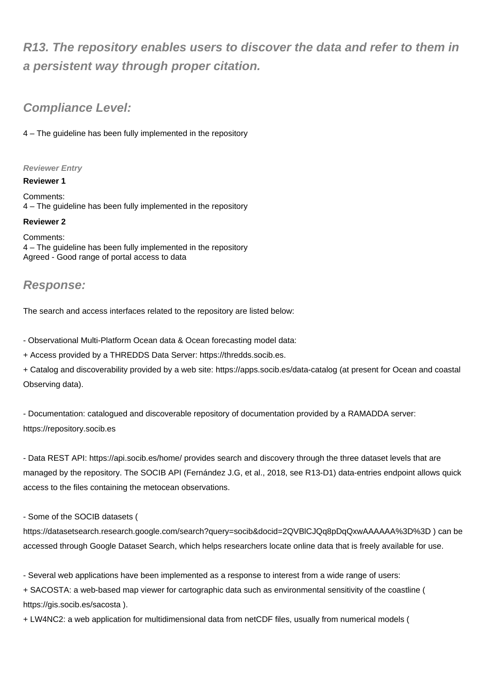# **R13. The repository enables users to discover the data and refer to them in a persistent way through proper citation.**

# **Compliance Level:**

4 – The guideline has been fully implemented in the repository

## **Reviewer Entry**

**Reviewer 1**

Comments: 4 – The guideline has been fully implemented in the repository

## **Reviewer 2**

Comments: 4 – The guideline has been fully implemented in the repository Agreed - Good range of portal access to data

# **Response:**

The search and access interfaces related to the repository are listed below:

- Observational Multi-Platform Ocean data & Ocean forecasting model data:

+ Access provided by a THREDDS Data Server: [https://thredds.socib.es.](https://thredds.socib.es)

+ Catalog and discoverability provided by a web site:<https://apps.socib.es/data-catalog> (at present for Ocean and coastal Observing data).

- Documentation: catalogued and discoverable repository of documentation provided by a RAMADDA server: <https://repository.socib.es>

- Data REST API:<https://api.socib.es/home/>provides search and discovery through the three dataset levels that are managed by the repository. The SOCIB API (Fernández J.G, et al., 2018, see R13-D1) data-entries endpoint allows quick access to the files containing the metocean observations.

## - Some of the SOCIB datasets (

<https://datasetsearch.research.google.com/search?query=socib&docid=2QVBlCJQq8pDqQxwAAAAAA%3D%3D>) can be accessed through Google Dataset Search, which helps researchers locate online data that is freely available for use.

- Several web applications have been implemented as a response to interest from a wide range of users:

+ SACOSTA: a web-based map viewer for cartographic data such as environmental sensitivity of the coastline ( <https://gis.socib.es/sacosta>).

+ LW4NC2: a web application for multidimensional data from netCDF files, usually from numerical models (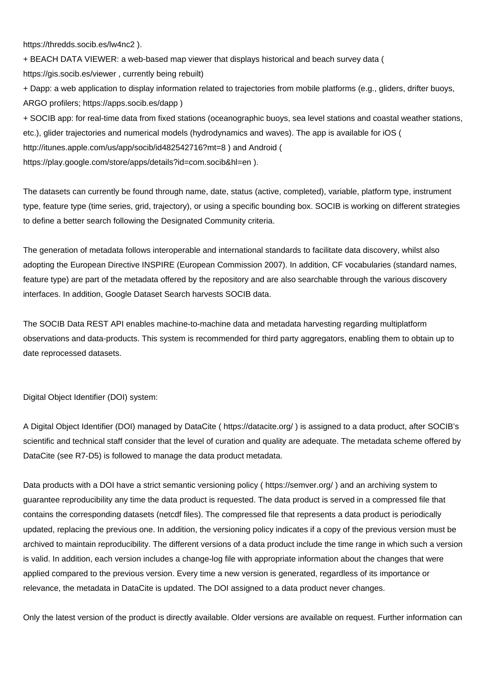<https://thredds.socib.es/lw4nc2> ).

+ BEACH DATA VIEWER: a web-based map viewer that displays historical and beach survey data ( <https://gis.socib.es/viewer> , currently being rebuilt)

+ Dapp: a web application to display information related to trajectories from mobile platforms (e.g., gliders, drifter buoys, ARGO profilers; <https://apps.socib.es/dapp>)

+ SOCIB app: for real-time data from fixed stations (oceanographic buoys, sea level stations and coastal weather stations, etc.), glider trajectories and numerical models (hydrodynamics and waves). The app is available for iOS ( <http://itunes.apple.com/us/app/socib/id482542716?mt=8>) and Android ( <https://play.google.com/store/apps/details?id=com.socib&hl=en>).

The datasets can currently be found through name, date, status (active, completed), variable, platform type, instrument type, feature type (time series, grid, trajectory), or using a specific bounding box. SOCIB is working on different strategies to define a better search following the Designated Community criteria.

The generation of metadata follows interoperable and international standards to facilitate data discovery, whilst also adopting the European Directive INSPIRE (European Commission 2007). In addition, CF vocabularies (standard names, feature type) are part of the metadata offered by the repository and are also searchable through the various discovery interfaces. In addition, Google Dataset Search harvests SOCIB data.

The SOCIB Data REST API enables machine-to-machine data and metadata harvesting regarding multiplatform observations and data-products. This system is recommended for third party aggregators, enabling them to obtain up to date reprocessed datasets.

Digital Object Identifier (DOI) system:

A Digital Object Identifier (DOI) managed by DataCite ( <https://datacite.org/> ) is assigned to a data product, after SOCIB's scientific and technical staff consider that the level of curation and quality are adequate. The metadata scheme offered by DataCite (see R7-D5) is followed to manage the data product metadata.

Data products with a DOI have a strict semantic versioning policy (<https://semver.org/>) and an archiving system to guarantee reproducibility any time the data product is requested. The data product is served in a compressed file that contains the corresponding datasets (netcdf files). The compressed file that represents a data product is periodically updated, replacing the previous one. In addition, the versioning policy indicates if a copy of the previous version must be archived to maintain reproducibility. The different versions of a data product include the time range in which such a version is valid. In addition, each version includes a change-log file with appropriate information about the changes that were applied compared to the previous version. Every time a new version is generated, regardless of its importance or relevance, the metadata in DataCite is updated. The DOI assigned to a data product never changes.

Only the latest version of the product is directly available. Older versions are available on request. Further information can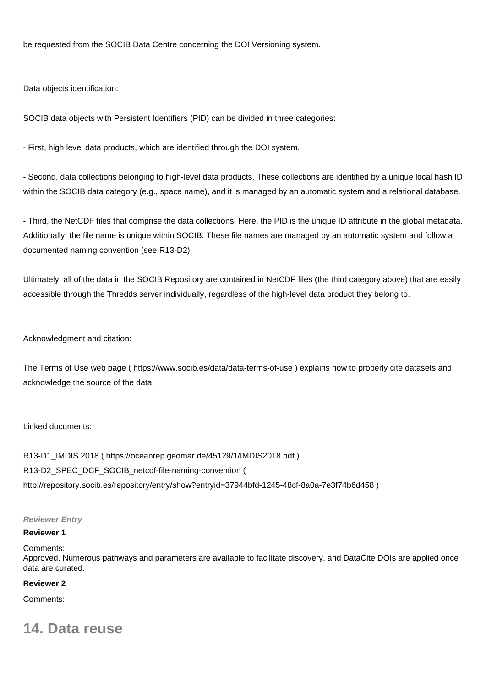be requested from the SOCIB Data Centre concerning the DOI Versioning system.

Data objects identification:

SOCIB data objects with Persistent Identifiers (PID) can be divided in three categories:

- First, high level data products, which are identified through the DOI system.

- Second, data collections belonging to high-level data products. These collections are identified by a unique local hash ID within the SOCIB data category (e.g., space name), and it is managed by an automatic system and a relational database.

- Third, the NetCDF files that comprise the data collections. Here, the PID is the unique ID attribute in the global metadata. Additionally, the file name is unique within SOCIB. These file names are managed by an automatic system and follow a documented naming convention (see R13-D2).

Ultimately, all of the data in the SOCIB Repository are contained in NetCDF files (the third category above) that are easily accessible through the Thredds server individually, regardless of the high-level data product they belong to.

Acknowledgment and citation:

The Terms of Use web page (<https://www.socib.es/data/data-terms-of-use> ) explains how to properly cite datasets and acknowledge the source of the data.

#### Linked documents:

R13-D1\_IMDIS 2018 (<https://oceanrep.geomar.de/45129/1/IMDIS2018.pdf>) R13-D2\_SPEC\_DCF\_SOCIB\_netcdf-file-naming-convention ( <http://repository.socib.es/repository/entry/show?entryid=37944bfd-1245-48cf-8a0a-7e3f74b6d458> )

#### **Reviewer Entry**

#### **Reviewer 1**

#### Comments:

Approved. Numerous pathways and parameters are available to facilitate discovery, and DataCite DOIs are applied once data are curated.

#### **Reviewer 2**

Comments:

# **14. Data reuse**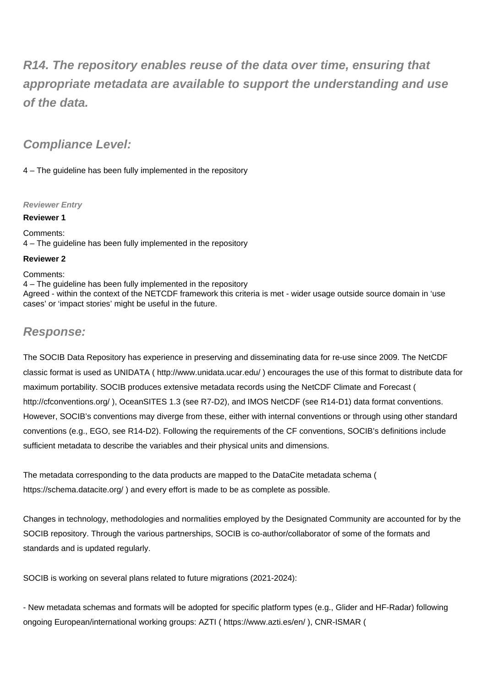**R14. The repository enables reuse of the data over time, ensuring that appropriate metadata are available to support the understanding and use of the data.**

# **Compliance Level:**

4 – The guideline has been fully implemented in the repository

## **Reviewer Entry**

**Reviewer 1**

Comments: 4 – The guideline has been fully implemented in the repository

### **Reviewer 2**

#### Comments:

4 – The guideline has been fully implemented in the repository Agreed - within the context of the NETCDF framework this criteria is met - wider usage outside source domain in 'use cases' or 'impact stories' might be useful in the future.

## **Response:**

The SOCIB Data Repository has experience in preserving and disseminating data for re-use since 2009. The NetCDF classic format is used as UNIDATA (<http://www.unidata.ucar.edu/> ) encourages the use of this format to distribute data for maximum portability. SOCIB produces extensive metadata records using the NetCDF Climate and Forecast ( <http://cfconventions.org/>), OceanSITES 1.3 (see R7-D2), and IMOS NetCDF (see R14-D1) data format conventions. However, SOCIB's conventions may diverge from these, either with internal conventions or through using other standard conventions (e.g., EGO, see R14-D2). Following the requirements of the CF conventions, SOCIB's definitions include sufficient metadata to describe the variables and their physical units and dimensions.

The metadata corresponding to the data products are mapped to the DataCite metadata schema ( <https://schema.datacite.org/> ) and every effort is made to be as complete as possible.

Changes in technology, methodologies and normalities employed by the Designated Community are accounted for by the SOCIB repository. Through the various partnerships, SOCIB is co-author/collaborator of some of the formats and standards and is updated regularly.

SOCIB is working on several plans related to future migrations (2021-2024):

- New metadata schemas and formats will be adopted for specific platform types (e.g., Glider and HF-Radar) following ongoing European/international working groups: AZTI (<https://www.azti.es/en/> ), CNR-ISMAR (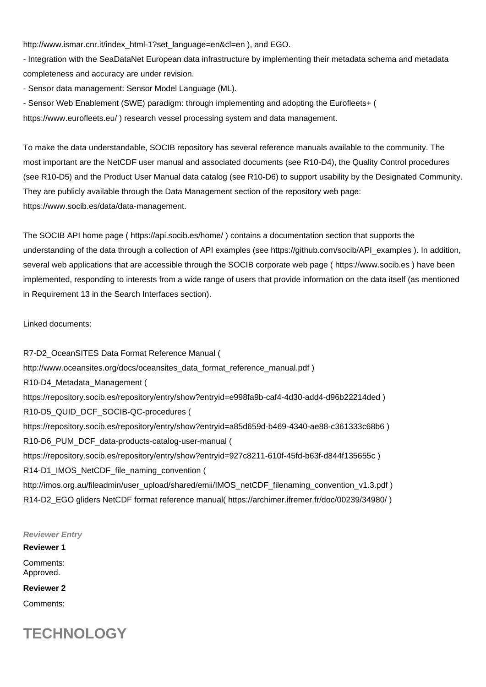[http://www.ismar.cnr.it/index\\_html-1?set\\_language=en&cl=en](http://www.ismar.cnr.it/index_html-1?set_language=en&cl=en) ), and EGO.

- Integration with the SeaDataNet European data infrastructure by implementing their metadata schema and metadata completeness and accuracy are under revision.

- Sensor data management: Sensor Model Language (ML).

- Sensor Web Enablement (SWE) paradigm: through implementing and adopting the Eurofleets+ ( <https://www.eurofleets.eu/> ) research vessel processing system and data management.

To make the data understandable, SOCIB repository has several reference manuals available to the community. The most important are the NetCDF user manual and associated documents (see R10-D4), the Quality Control procedures (see R10-D5) and the Product User Manual data catalog (see R10-D6) to support usability by the Designated Community. They are publicly available through the Data Management section of the repository web page: <https://www.socib.es/data/data-management.>

The SOCIB API home page (<https://api.socib.es/home/> ) contains a documentation section that supports the understanding of the data through a collection of API examples (see [https://github.com/socib/API\\_examples](https://github.com/socib/API_examples) ). In addition, several web applications that are accessible through the SOCIB corporate web page ( <https://www.socib.es>) have been implemented, responding to interests from a wide range of users that provide information on the data itself (as mentioned in Requirement 13 in the Search Interfaces section).

#### Linked documents:

R7-D2\_OceanSITES Data Format Reference Manual ( [http://www.oceansites.org/docs/oceansites\\_data\\_format\\_reference\\_manual.pdf](http://www.oceansites.org/docs/oceansites_data_format_reference_manual.pdf) ) R10-D4\_Metadata\_Management ( <https://repository.socib.es/repository/entry/show?entryid=e998fa9b-caf4-4d30-add4-d96b22214ded>) R10-D5\_QUID\_DCF\_SOCIB-QC-procedures ( <https://repository.socib.es/repository/entry/show?entryid=a85d659d-b469-4340-ae88-c361333c68b6> ) R10-D6\_PUM\_DCF\_data-products-catalog-user-manual ( <https://repository.socib.es/repository/entry/show?entryid=927c8211-610f-45fd-b63f-d844f135655c>) R14-D1\_IMOS\_NetCDF\_file\_naming\_convention ( [http://imos.org.au/fileadmin/user\\_upload/shared/emii/IMOS\\_netCDF\\_filenaming\\_convention\\_v1.3.pdf](http://imos.org.au/fileadmin/user_upload/shared/emii/IMOS_netCDF_filenaming_convention_v1.3.pdf) ) R14-D2\_EGO gliders NetCDF format reference manual( <https://archimer.ifremer.fr/doc/00239/34980/> )

**Reviewer Entry**

## **Reviewer 1** Comments: Approved.

**Reviewer 2**

Comments:

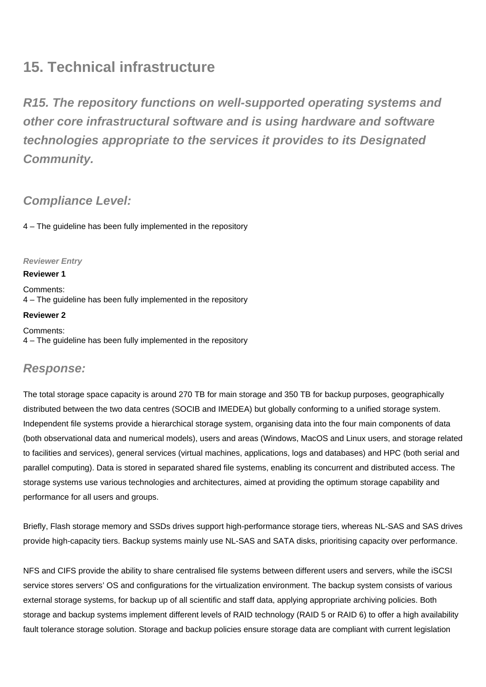# **15. Technical infrastructure**

**R15. The repository functions on well-supported operating systems and other core infrastructural software and is using hardware and software technologies appropriate to the services it provides to its Designated Community.**

# **Compliance Level:**

4 – The guideline has been fully implemented in the repository

## **Reviewer Entry**

### **Reviewer 1**

Comments: 4 – The guideline has been fully implemented in the repository

#### **Reviewer 2**

Comments: 4 – The guideline has been fully implemented in the repository

# **Response:**

The total storage space capacity is around 270 TB for main storage and 350 TB for backup purposes, geographically distributed between the two data centres (SOCIB and IMEDEA) but globally conforming to a unified storage system. Independent file systems provide a hierarchical storage system, organising data into the four main components of data (both observational data and numerical models), users and areas (Windows, MacOS and Linux users, and storage related to facilities and services), general services (virtual machines, applications, logs and databases) and HPC (both serial and parallel computing). Data is stored in separated shared file systems, enabling its concurrent and distributed access. The storage systems use various technologies and architectures, aimed at providing the optimum storage capability and performance for all users and groups.

Briefly, Flash storage memory and SSDs drives support high-performance storage tiers, whereas NL-SAS and SAS drives provide high-capacity tiers. Backup systems mainly use NL-SAS and SATA disks, prioritising capacity over performance.

NFS and CIFS provide the ability to share centralised file systems between different users and servers, while the iSCSI service stores servers' OS and configurations for the virtualization environment. The backup system consists of various external storage systems, for backup up of all scientific and staff data, applying appropriate archiving policies. Both storage and backup systems implement different levels of RAID technology (RAID 5 or RAID 6) to offer a high availability fault tolerance storage solution. Storage and backup policies ensure storage data are compliant with current legislation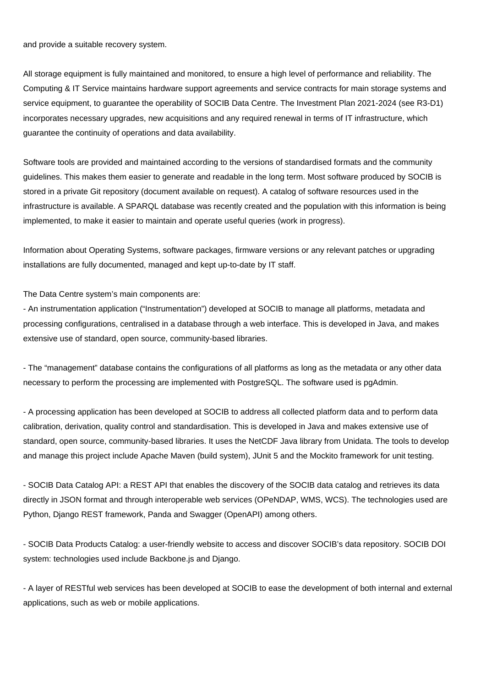and provide a suitable recovery system.

All storage equipment is fully maintained and monitored, to ensure a high level of performance and reliability. The Computing & IT Service maintains hardware support agreements and service contracts for main storage systems and service equipment, to guarantee the operability of SOCIB Data Centre. The Investment Plan 2021-2024 (see R3-D1) incorporates necessary upgrades, new acquisitions and any required renewal in terms of IT infrastructure, which guarantee the continuity of operations and data availability.

Software tools are provided and maintained according to the versions of standardised formats and the community guidelines. This makes them easier to generate and readable in the long term. Most software produced by SOCIB is stored in a private Git repository (document available on request). A catalog of software resources used in the infrastructure is available. A SPARQL database was recently created and the population with this information is being implemented, to make it easier to maintain and operate useful queries (work in progress).

Information about Operating Systems, software packages, firmware versions or any relevant patches or upgrading installations are fully documented, managed and kept up-to-date by IT staff.

The Data Centre system's main components are:

- An instrumentation application ("Instrumentation") developed at SOCIB to manage all platforms, metadata and processing configurations, centralised in a database through a web interface. This is developed in Java, and makes extensive use of standard, open source, community-based libraries.

- The "management" database contains the configurations of all platforms as long as the metadata or any other data necessary to perform the processing are implemented with PostgreSQL. The software used is pgAdmin.

- A processing application has been developed at SOCIB to address all collected platform data and to perform data calibration, derivation, quality control and standardisation. This is developed in Java and makes extensive use of standard, open source, community-based libraries. It uses the NetCDF Java library from Unidata. The tools to develop and manage this project include Apache Maven (build system), JUnit 5 and the Mockito framework for unit testing.

- SOCIB Data Catalog API: a REST API that enables the discovery of the SOCIB data catalog and retrieves its data directly in JSON format and through interoperable web services (OPeNDAP, WMS, WCS). The technologies used are Python, Django REST framework, Panda and Swagger (OpenAPI) among others.

- SOCIB Data Products Catalog: a user-friendly website to access and discover SOCIB's data repository. SOCIB DOI system: technologies used include Backbone.js and Django.

- A layer of RESTful web services has been developed at SOCIB to ease the development of both internal and external applications, such as web or mobile applications.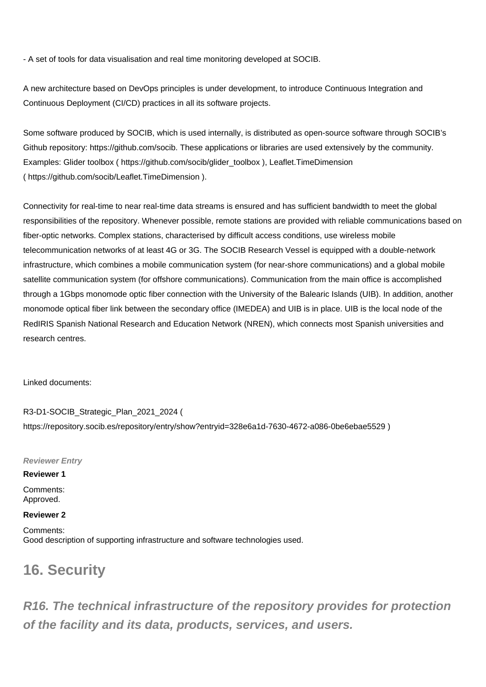- A set of tools for data visualisation and real time monitoring developed at SOCIB.

A new architecture based on DevOps principles is under development, to introduce Continuous Integration and Continuous Deployment (CI/CD) practices in all its software projects.

Some software produced by SOCIB, which is used internally, is distributed as open-source software through SOCIB's Github repository:<https://github.com/socib.>These applications or libraries are used extensively by the community. Examples: Glider toolbox ( [https://github.com/socib/glider\\_toolbox](https://github.com/socib/glider_toolbox) ), Leaflet.TimeDimension (<https://github.com/socib/Leaflet.TimeDimension>).

Connectivity for real-time to near real-time data streams is ensured and has sufficient bandwidth to meet the global responsibilities of the repository. Whenever possible, remote stations are provided with reliable communications based on fiber-optic networks. Complex stations, characterised by difficult access conditions, use wireless mobile telecommunication networks of at least 4G or 3G. The SOCIB Research Vessel is equipped with a double-network infrastructure, which combines a mobile communication system (for near-shore communications) and a global mobile satellite communication system (for offshore communications). Communication from the main office is accomplished through a 1Gbps monomode optic fiber connection with the University of the Balearic Islands (UIB). In addition, another monomode optical fiber link between the secondary office (IMEDEA) and UIB is in place. UIB is the local node of the RedIRIS Spanish National Research and Education Network (NREN), which connects most Spanish universities and research centres.

Linked documents:

R3-D1-SOCIB\_Strategic\_Plan\_2021\_2024 ( <https://repository.socib.es/repository/entry/show?entryid=328e6a1d-7630-4672-a086-0be6ebae5529> )

**Reviewer Entry**

### **Reviewer 1**

Comments: Approved.

## **Reviewer 2**

Comments: Good description of supporting infrastructure and software technologies used.

# **16. Security**

**R16. The technical infrastructure of the repository provides for protection of the facility and its data, products, services, and users.**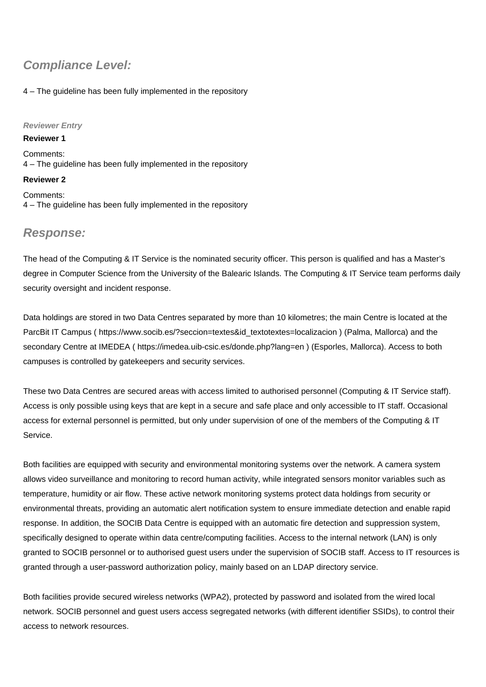# **Compliance Level:**

## 4 – The guideline has been fully implemented in the repository

## **Reviewer Entry**

**Reviewer 1** Comments: 4 – The guideline has been fully implemented in the repository

## **Reviewer 2**

Comments: 4 – The guideline has been fully implemented in the repository

# **Response:**

The head of the Computing & IT Service is the nominated security officer. This person is qualified and has a Master's degree in Computer Science from the University of the Balearic Islands. The Computing & IT Service team performs daily security oversight and incident response.

Data holdings are stored in two Data Centres separated by more than 10 kilometres; the main Centre is located at the ParcBit IT Campus ( [https://www.socib.es/?seccion=textes&id\\_textotextes=localizacion](https://www.socib.es/?seccion=textes&id_textotextes=localizacion) ) (Palma, Mallorca) and the secondary Centre at IMEDEA (<https://imedea.uib-csic.es/donde.php?lang=en>) (Esporles, Mallorca). Access to both campuses is controlled by gatekeepers and security services.

These two Data Centres are secured areas with access limited to authorised personnel (Computing & IT Service staff). Access is only possible using keys that are kept in a secure and safe place and only accessible to IT staff. Occasional access for external personnel is permitted, but only under supervision of one of the members of the Computing & IT Service.

Both facilities are equipped with security and environmental monitoring systems over the network. A camera system allows video surveillance and monitoring to record human activity, while integrated sensors monitor variables such as temperature, humidity or air flow. These active network monitoring systems protect data holdings from security or environmental threats, providing an automatic alert notification system to ensure immediate detection and enable rapid response. In addition, the SOCIB Data Centre is equipped with an automatic fire detection and suppression system, specifically designed to operate within data centre/computing facilities. Access to the internal network (LAN) is only granted to SOCIB personnel or to authorised guest users under the supervision of SOCIB staff. Access to IT resources is granted through a user-password authorization policy, mainly based on an LDAP directory service.

Both facilities provide secured wireless networks (WPA2), protected by password and isolated from the wired local network. SOCIB personnel and guest users access segregated networks (with different identifier SSIDs), to control their access to network resources.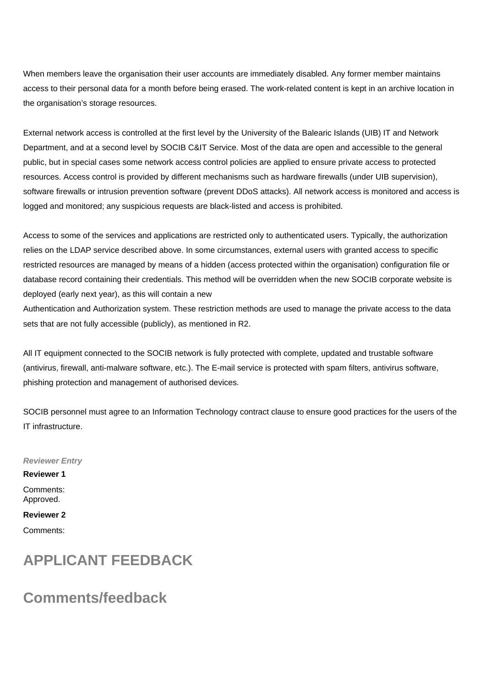When members leave the organisation their user accounts are immediately disabled. Any former member maintains access to their personal data for a month before being erased. The work-related content is kept in an archive location in the organisation's storage resources.

External network access is controlled at the first level by the University of the Balearic Islands (UIB) IT and Network Department, and at a second level by SOCIB C&IT Service. Most of the data are open and accessible to the general public, but in special cases some network access control policies are applied to ensure private access to protected resources. Access control is provided by different mechanisms such as hardware firewalls (under UIB supervision), software firewalls or intrusion prevention software (prevent DDoS attacks). All network access is monitored and access is logged and monitored; any suspicious requests are black-listed and access is prohibited.

Access to some of the services and applications are restricted only to authenticated users. Typically, the authorization relies on the LDAP service described above. In some circumstances, external users with granted access to specific restricted resources are managed by means of a hidden (access protected within the organisation) configuration file or database record containing their credentials. This method will be overridden when the new SOCIB corporate website is deployed (early next year), as this will contain a new

Authentication and Authorization system. These restriction methods are used to manage the private access to the data sets that are not fully accessible (publicly), as mentioned in R2.

All IT equipment connected to the SOCIB network is fully protected with complete, updated and trustable software (antivirus, firewall, anti-malware software, etc.). The E-mail service is protected with spam filters, antivirus software, phishing protection and management of authorised devices.

SOCIB personnel must agree to an Information Technology contract clause to ensure good practices for the users of the IT infrastructure.

**Reviewer Entry Reviewer 1** Comments: Approved. **Reviewer 2**

Comments:

# **APPLICANT FEEDBACK**

# **Comments/feedback**